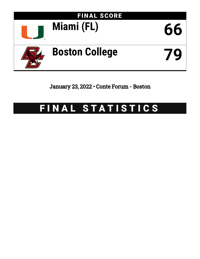

January 23, 2022 • Conte Forum - Boston

# FINAL STATISTICS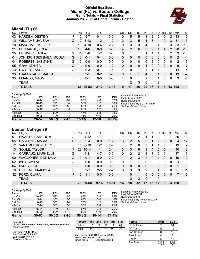### **Official Box Score Miami (FL) vs Boston College Game Totals -- Final Statistics January 23, 2022 at Conte Forum - Boston**



# **Miami (FL) 66**

|         | <b>TOTALS</b>            |    | 66       | 26-52    | $2 - 13$ | $12 - 18$ | 9  | 17       | 26           | 20            | 16             | 17           | 4        | 13             | 198 |       |
|---------|--------------------------|----|----------|----------|----------|-----------|----|----------|--------------|---------------|----------------|--------------|----------|----------------|-----|-------|
|         | <b>TEAM</b>              |    |          |          |          |           |    | 2        | 3            | $\mathbf{0}$  |                | 2            |          |                |     |       |
| 35      | MBANDU, NAOMI            | F. | 0        | $0 - 1$  | $0 - 0$  | $0 - 0$   | 1. | 0        | 1.           | $\mathcal{P}$ | $\Omega$       | 1            | $\Omega$ | 0              | 3   | $-5$  |
| 33      | DJALDI-TABDI, MAEVA      | F. | 6        | $3 - 5$  | $0 - 2$  | $0 - 0$   | 0  | 1        | 1            | 4             | 0              |              | $\Omega$ | 0              | 13  | $-2$  |
| 13      | DWYER, LASHAE            | G  | 3        | $0 - 3$  | $0 - 1$  | $3 - 4$   |    | 0        | 1            | 3             |                |              | 0        | 1              | 14  | $-4$  |
| 05      | <b>GRAY, MYKEA</b>       | G  | 1        | $0 - 0$  | $0 - 0$  | $1 - 2$   | 0  | $\Omega$ | $\mathbf{0}$ | 1             | 0              | $\Omega$     | $\Omega$ | $\Omega$       | 6   | $-7$  |
| 04      | ROBERTS, JASMYNE         | G  | $\Omega$ | $0 - 0$  | $0 - 0$  | $0-0$     | 0  | 0        | 0            | $\Omega$      | 2              | 0            | 0        | 0              | 2   | $-5$  |
| 01      | JOHNSON SIDI BABA, MOULA | G  | $\Omega$ | $0 - 1$  | $0 - 1$  | $0 - 0$   | 0  | 0        | 0            | 0             | 0              | $\mathbf{0}$ | $\Omega$ | 0              | 2   | $-4$  |
| 25      | ERJAVEC, KARLA           | G  | 11       | $5-6$    | $1 - 2$  | $0 - 0$   | 0  | 1        | 1            |               | 4              | 1            | $\Omega$ | $\overline{2}$ | 33  | $-10$ |
| 21      | PENDANDE, LOLA           | F. | 13       | $4-6$    | $0 - 0$  | $5 - 8$   | 4  | 2        | 6            | 3             | $\overline{2}$ |              | 4        | 2              | 28  | $-13$ |
| 20      | MARSHALL, KELSEY         | G  | 10       | $4 - 10$ | $0 - 4$  | $2 - 2$   | 0  | 3        | 3            | 4             | 2              | 4            | 0        | 3              | 33  | $-10$ |
| $12 \,$ | <b>WILLIAMS, JA'LEAH</b> | G  | 12       | $5 - 13$ | $1 - 2$  | $1 - 2$   | 2  | 3        | 5            |               | 3              | 4            | 0        | 3              | 31  | $-3$  |
| 03      | HARDEN, DESTINY          | F. | 10       | $5 - 7$  | $0 - 1$  | $0-0$     | 0  | 5        | 5            |               | 2              | 2            | $\Omega$ | 2              | 33  | $-2$  |
| No.     | Plaver                   | S  | Pts      | FG       | 3FG      | <b>FT</b> | ΟR | DR       | TR           | PF            | A              | TO           | Blk      | Stl            | Min | $+/-$ |

| <b>Shooting By Period</b> |           |       |          |        |           |       | Deadball Rebounds: 5,0          |
|---------------------------|-----------|-------|----------|--------|-----------|-------|---------------------------------|
| Period                    | FG        | FG%   | 3FG      | 3FG%   | FT        | FT%   | Last FG: 4th-00:23              |
| 1st Qtr                   | $6 - 14$  | 43%   | 0-4      | 00%    | 4-6       | 67%   | Biggest Run: 9-0                |
| 2nd Qtr                   | $10 - 13$ | 77%   | $1 - 2$  | 50%    | $1 - 2$   | 50%   | Largest lead: By 3 at 4th-08:34 |
| 3rd Qtr                   | $5 - 13$  | 38%   | 0-3      | $00\%$ | 6-8       | 75%   | Technical Fouls: None.          |
| 4th Qtr                   | $5 - 12$  | 42%   | $1 - 4$  | 25%    | $1 - 2$   | 50%   |                                 |
| 1st Half                  | 16-27     | 59%   | 1-6      | 17%    | $5-8$     | 63%   |                                 |
| 2nd Half                  | $10 - 25$ | 40%   | $1 - 7$  | 14%    | $7-10$    | 70%   |                                 |
| Game                      | 26-52     | 50.0% | $2 - 13$ | 15.4%  | $12 - 18$ | 66.7% |                                 |

**Boston College 79**

| No. | Plaver                    | S  | Pts           | FG.       | 3FG      | FT        | ΟR       | DR | TR       | PF            | A        | TO | <b>B</b> lk | Stl          | Min | $+/-$          |
|-----|---------------------------|----|---------------|-----------|----------|-----------|----------|----|----------|---------------|----------|----|-------------|--------------|-----|----------------|
| 01  | SWARTZ, CAMERON           | G  | 10            | $4 - 12$  | $1 - 1$  | $1-2$     |          |    | 2        |               |          | 2  | 0           |              | 35  | 13             |
| 05  | <b>GAKDENG, MARIA</b>     | С  | 5             | $2 - 4$   | $0 - 0$  | $1 - 2$   | 3        | 2  | 5        | 3             |          | 2  | 3           | $\mathbf{0}$ | 24  | 12             |
| 12  | VANTIMMEREN, ALLY         | F. | 15            | $6 - 10$  | $1-2$    | $2 - 2$   | 4        | 2  | 6        | 3             |          |    | 0           |              | 19  | 9              |
| 13  | SOULE, TAYLOR             | F. | 23            | $10 - 14$ | $1 - 1$  | $2 - 4$   | 3        | 3  | 6        | 3             | 4        | 5  | $\Omega$    |              | 40  | 13             |
| 14  | <b>GARRAUD, MARNELLE</b>  | G  | 14            | $5 - 11$  | $4 - 7$  | $0 - 0$   | 0        | 2  | 2        | 3             | 3        | 2  | 0           |              | 37  | 15             |
| 00  | <b>WAGGONER, DONTAVIA</b> | G  | 2             | $0 - 1$   | $0 - 0$  | $2 - 2$   | 1        | 2  | 3        | $\mathcal{P}$ | 0        | 1  | 0           | $\Omega$     | 10  | $-2$           |
| 02  | <b>IVEY, KAYLAH</b>       | G  | 0             | $0 - 0$   | $0 - 0$  | $0 - 0$   | 0        |    | 1        | 0             | 0        | 0  | $\Omega$    | 0            | 4   | $-3$           |
| 04  | LACEY, JOJO               | G  | 0             | $0 - 0$   | $0 - 0$  | $0 - 0$   | 0        | 0  | $\Omega$ | 0             | $\Omega$ | 0  | 0           | $\Omega$     | 1   | $\overline{0}$ |
| 10  | DICKENS, MAKAYLA          | G  | 8             | $2 - 7$   | $2 - 5$  | $2 - 2$   | $\Omega$ | 3  | 3        | 2             | 5        | 4  | $\Omega$    | 0            | 21  | 11             |
| 32  | FORD, CLARA               | F  | $\mathcal{P}$ | $1 - 1$   | $0 - 0$  | $0 - 0$   |          | 0  |          | 0             | $\Omega$ | 0  | $\Omega$    | $\Omega$     | 7   | $-3$           |
|     | <b>TEAM</b>               |    |               |           |          |           |          | 2  | 3        | 0             |          | 0  |             |              |     |                |
|     | <b>TOTALS</b>             |    | 79            | 30-60     | $9 - 16$ | $10 - 14$ | 14       | 18 | 32       | 17            | 15       | 17 | 3           | 4            | 198 |                |

#### *Shooting By Period*

| Period   | FG        | FG%   | 3FG      | 3FG%  | FΤ        | FT%   |
|----------|-----------|-------|----------|-------|-----------|-------|
| 1st Qtr  | $10 - 17$ | 59%   | $2 - 3$  | 67%   | 3-4       | 75%   |
| 2nd Qtr  | $5 - 14$  | 36%   | $2 - 3$  | 67%   | $0 - 0$   | 0%    |
| 3rd Qtr  | $8 - 15$  | 53%   | $3-4$    | 75%   | $1-2$     | 50%   |
| 4th Qtr  | $7 - 14$  | 50%   | $2 - 6$  | 33%   | $6 - 8$   | 75%   |
| 1st Half | $15 - 31$ | 48%   | $4-6$    | 67%   | $3 - 4$   | 75%   |
| 2nd Half | $15 - 29$ | 52%   | $5 - 10$ | 50%   | $7 - 10$  | 70%   |
| Game     | 30-60     | 50.0% | $9 - 16$ | 56.3% | $10 - 14$ | 71.4% |

*Deadball Rebounds:* 3,0 *Last FG:* 4th-00:51 *Biggest Run:* 9-0 *Largest lead:* By 15 at 4th-00:39 *Technical Fouls:* None.

| Game Notes:                                                               | <b>Score</b>                                    | 1st l |                 |    |    | 2nd 3rd 4th TOT | <b>Points</b>     | <b>UMH</b> | <b>BCE</b> |
|---------------------------------------------------------------------------|-------------------------------------------------|-------|-----------------|----|----|-----------------|-------------------|------------|------------|
| Officials: Ed Sidlasky, Linda Miles, Brandon Enterline<br>Attendance: 914 | UMH                                             | 16    | 22              | 16 | 12 | 66              | In the Paint      | 28         | 34         |
|                                                                           | <b>BCE</b>                                      | 25    | 12              | 20 | 22 | 79              | Off Turns         | 19         | 16         |
| Start Time: 12:03 PM ET                                                   |                                                 |       |                 |    |    |                 | 2nd Chance        |            | 18         |
| End Time: 02:00 PM ET<br>Game Duration: 1:57                              | UMH led for 3:56. BCE led for 32:19.            |       |                 |    |    |                 | <b>Fast Break</b> |            |            |
| Conference Game:                                                          | Game was tied for 3:24.<br>Times tied: <b>5</b> |       | Lead Changes: 8 |    |    |                 | Bench             |            | 12         |
|                                                                           |                                                 |       |                 |    |    |                 | <b>Des Dess</b>   | 1.000      | 1 1 7 0    |

| In the Paint | 28             | 34             |
|--------------|----------------|----------------|
| Off Turns    | 19             | 16             |
| 2nd Chance   | 8              | 18             |
| Fast Break   | 8              | 2              |
| Bench        | 10             | 12             |
| Per Poss     | 1.000<br>32/66 | 1.179<br>35/67 |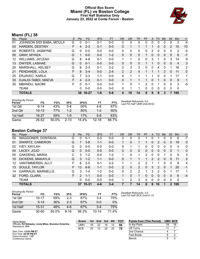### **Official Box Score Miami (FL) vs Boston College First Half Statistics Only January 23, 2022 at Conte Forum - Boston**



# **Miami (FL) 38**

| No. | Player                   | S | <b>Pts</b> | <b>FG</b> | 3FG     | <b>FT</b> | <b>OR</b> | <b>DR</b> | <b>TR</b>    | PF       | $\mathsf{A}$ | <b>TO</b> | <b>Blk</b> | Stl      | <b>Min</b> | $+/-$          |
|-----|--------------------------|---|------------|-----------|---------|-----------|-----------|-----------|--------------|----------|--------------|-----------|------------|----------|------------|----------------|
| 01  | JOHNSON SIDI BABA, MOULA | G | 0          | 0-1       | 0-1     | $0-0$     | 0         | 0         | 0            | 0        | 0            | 0         | 0          | 0        | 2          | $-4$           |
| 03  | <b>HARDEN, DESTINY</b>   | F | 4          | $2 - 3$   | $0 - 1$ | $0 - 0$   | 0         | 1         |              |          |              | 0         | 0          | 2        | 15         | 10             |
| 04  | ROBERTS, JASMYNE         | G | 0          | $0 - 0$   | $0 - 0$ | $0-0$     | 0         | 0         | 0            | 0        | 2            | 0         | 0          | 0        | 2          | $-5$           |
| 05  | <b>GRAY, MYKEA</b>       | G |            | $0 - 0$   | $0 - 0$ | $1 - 2$   | 0         | 0         | $\mathbf{0}$ |          | 0            | 0         | 0          | 0        | 6          | $-7$           |
| 12  | <b>WILLIAMS, JA'LEAH</b> | G | 8          | $4 - 8$   | $0 - 1$ | $0 - 0$   | 1         | 1         | 2            | 0        | 3            | 1         | 0          | 3        | 14         | 9              |
| 13  | DWYER, LASHAE            | G | $\Omega$   | $0 - 1$   | $0 - 0$ | $0 - 0$   | 0         | 0         | $\Omega$     |          |              | $\Omega$  | $\Omega$   | 0        | 4          | 3              |
| 20  | MARSHALL, KELSEY         | G | 6          | $2 - 3$   | $0 - 1$ | $2 - 2$   | 0         | 3         | 3            | 0        | 0            | 4         | 0          |          | 16         | $\overline{2}$ |
| 21  | PENDANDE, LOLA           | F | 8          | $3 - 4$   | $0 - 0$ | $2 - 4$   | 2         | 2         | 4            |          |              | 1         | 3          | 0        | 11         | 0              |
| 25  | ERJAVEC, KARLA           | G |            | $3-3$     | $1 - 1$ | $0 - 0$   | 0         | 1         | 1            |          |              | 0         | 0          | 1        | 17         | 1              |
| 33  | DJALDI-TABDI, MAEVA      | F | 4          | $2 - 3$   | $0 - 1$ | $0 - 0$   | 0         |           |              |          | 0            |           | $\Omega$   | 0        | 9          | 1              |
| 35  | <b>MBANDU, NAOMI</b>     | F | 0          | $0 - 1$   | $0 - 0$ | $0 - 0$   | 1         | 0         | 1            | 2        | 0            |           | 0          | $\Omega$ | 3          | $-5$           |
|     | <b>TEAM</b>              |   | 0          | $0 - 0$   | $0 - 0$ | $0 - 0$   | 0         | 1         |              | $\Omega$ | 0            | $\Omega$  | $\Omega$   | 0        | 0          |                |
|     | <b>TOTALS</b>            |   |            | 38 16-27  | $1 - 6$ | $5 - 8$   | 4         | 10        | 14           | 8        | 9            | 8         | 3          |          | 100        |                |

| <b>Shooting By Period</b><br>Period | FG        | FG%      | 3FG      | 3FG%  | FT        | FT%   |
|-------------------------------------|-----------|----------|----------|-------|-----------|-------|
| 1st Qtr                             | $6-14$    | 43%      | $0 - 4$  | 00%   | 4-6       | 67%   |
| 2nd Qtr                             | $10 - 13$ | 77%      | $1 - 2$  | 50%   | $1 - 2$   | 50%   |
| 1st Half                            | $16 - 27$ | 59%      | 1-6      | 17%   | $5-8$     | 63%   |
| Game                                | 26-52     | $50.0\%$ | $2 - 13$ | 15.4% | $12 - 18$ | 66.7% |

*Deadball Rebounds:* 5,0 *Last FG Half:* UMH 2nd-00:02

# **Boston College 37**

| No. | Player                   | S  | <b>Pts</b> | <b>FG</b> | 3FG     | <b>FT</b> | <b>OR</b>      | DR | TR            | PF            | A | TO | <b>B</b> lk  | Stl      | Min | $+/-$        |
|-----|--------------------------|----|------------|-----------|---------|-----------|----------------|----|---------------|---------------|---|----|--------------|----------|-----|--------------|
| 00  | WAGGONER, DONTAVIA       | G  | 0          | 0-1       | $0-0$   | $0-0$     | 0              | 0  | 0             |               | 0 |    | 0            | 0        | 6   | $-7$         |
| 01  | SWARTZ, CAMERON          | G  |            | $3 - 8$   | $1 - 1$ | $0 - 0$   |                | 0  |               |               | 0 | 2  | 0            | 0        | 18  | $\mathbf{0}$ |
| 02  | <b>IVEY, KAYLAH</b>      | G  | 0          | $0 - 0$   | $0 - 0$ | $0 - 0$   | 0              |    |               | 0             | 0 | 0  | 0            | 0        | 4   | -3           |
| 04  | LACEY, JOJO              | G  | 0          | $0 - 0$   | $0 - 0$ | $0 - 0$   | 0              | 0  | $\mathbf{0}$  | 0             | 0 | 0  | $\Omega$     | $\Omega$ |     | $\mathbf{0}$ |
| 05  | <b>GAKDENG, MARIA</b>    | С  | 3          | $1 - 2$   | $0 - 0$ | $1 - 2$   | 1              | 0  | 1             | 2             | 0 | 0  |              | 0        | 9   | 3            |
| 10  | DICKENS, MAKAYLA         | G  | 3          | $1 - 2$   | $1 - 1$ | $0 - 0$   | 0              |    |               |               | 2 | 2  | $\mathbf{0}$ | $\Omega$ | 11  | 2            |
| 12  | VANTIMMEREN, ALLY        | F  | 6          | $2 - 5$   | $0 - 1$ | $2 - 2$   | 1.             |    | $\mathcal{P}$ | $\mathcal{P}$ |   |    | $\Omega$     | 0        | 8   | 4            |
| 13  | SOULE, TAYLOR            | F. | 13         | $6 - 8$   | $1 - 1$ | $0 - 0$   | $\overline{2}$ | 0  | 2             | $\Omega$      | 3 | 2  | $\Omega$     |          | 20  | $-1$         |
| 14  | <b>GARRAUD, MARNELLE</b> | G  | 3          | 1-4       | $1 - 2$ | $0 - 0$   | 0              | 2  | 2             |               | 3 | 2  | $\Omega$     |          | 17  | 1            |
| 32  | FORD, CLARA              | F. | 2          | $1 - 1$   | $0 - 0$ | $0 - 0$   |                | 0  |               | 0             | 0 | 0  | $\Omega$     | $\Omega$ | 6   | $-4$         |
|     | <b>TEAM</b>              |    | 0          | $0 - 0$   | $0 - 0$ | $0 - 0$   |                | 2  | 3             | 0             | 0 | 0  | $\Omega$     | 0        | 0   |              |
|     | <b>TOTALS</b>            |    | 37         | $15 - 31$ | $4-6$   | $3 - 4$   |                |    | 14            | 8             | 9 | 10 |              | 2        | 100 |              |

| <b>Shooting By Period</b> |          |       |          |       |       |       |
|---------------------------|----------|-------|----------|-------|-------|-------|
| Period                    | FG       | FG%   | 3FG      | 3FG%  | FT    | FT%   |
| 1st Otr                   | 10-17    | 59%   | $2-3$    | 67%   | 3-4   | 75%   |
| 2nd Qtr                   | $5 - 14$ | 36%   | $2-3$    | 67%   | 0-0   | $0\%$ |
| 1st Half                  | 15-31    | 48%   | $4-6$    | 67%   | 3-4   | 75%   |
| Game                      | 30-60    | 50.0% | $9 - 16$ | 56.3% | 10-14 | 714%  |

*Deadball Rebounds:* 3,0 *Last FG Half:* BCE 2nd-01:10

| Game Notes:                                                               | <b>Score</b> |    | 1st 2nd | 3rd |    | 4th TOT | <b>Points from (This Period)</b> | UMH BCE |    |
|---------------------------------------------------------------------------|--------------|----|---------|-----|----|---------|----------------------------------|---------|----|
| Officials: Ed Sidlasky, Linda Miles, Brandon Enterline<br>Attendance: 914 | <b>UMH</b>   | 16 | 22      | 16  | 12 | 66      | In the Paint                     | 18      | 18 |
|                                                                           | <b>BCE</b>   | 25 | 12      | 20  | 22 | 79      | Off Turns                        |         |    |
| Start Time: 12:03 PM ET                                                   |              |    |         |     |    |         | 2nd Chance                       |         |    |
| End Time: 02:00 PM ET<br>Game Duration: 1:57                              |              |    |         |     |    |         | <b>Fast Break</b>                |         |    |
| Conference Game:                                                          |              |    |         |     |    |         | Bench                            |         |    |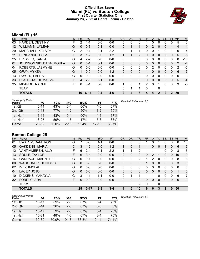### **Official Box Score Miami (FL) vs Boston College First Quarter Statistics Only January 23, 2022 at Conte Forum - Boston**



# **Miami (FL) 16**

| No.               | Plaver                   | S  | <b>Pts</b> | <b>FG</b> | 3FG     | <b>FT</b> | <b>OR</b> | D <sub>R</sub> | TR | PF       | A            | <b>TO</b> | <b>BIK</b> | <b>Stl</b>   | Min      | $+/-$        |
|-------------------|--------------------------|----|------------|-----------|---------|-----------|-----------|----------------|----|----------|--------------|-----------|------------|--------------|----------|--------------|
| 03                | <b>HARDEN, DESTINY</b>   | F  | 2          | 1-1       | $0 - 0$ | $0 - 0$   | 0         | 0              | 0  |          | 0            | 0         | 0          | 0            | 5        | $\mathbf 0$  |
| $12 \overline{ }$ | <b>WILLIAMS, JA'LEAH</b> | G  | 0          | $0 - 3$   | $0 - 1$ | $0 - 0$   | $\Omega$  |                |    | 0        | 2            | $\Omega$  | 0          |              | 4        | $-1$         |
| 20                | <b>MARSHALL, KELSEY</b>  | G  | 2          | $0 - 1$   | $0 - 1$ | $2 - 2$   | 0         |                |    | 0        | 0            |           | 0          |              | 9        | $-4$         |
| 21                | PENDANDE, LOLA           | F  | 3          | $1 - 2$   | $0 - 0$ | $1 - 2$   |           |                | 2  | 0        | $\mathbf{0}$ | 0         | 2          | $\mathbf{0}$ | 5        | $-5$         |
| 25                | ERJAVEC, KARLA           | G  | 4          | $2 - 2$   | $0 - 0$ | $0-0$     | 0         | $\Omega$       | 0  | $\Omega$ | $\mathbf{0}$ | 0         | $\Omega$   | $\Omega$     | 8        | $-10$        |
| 01                | JOHNSON SIDI BABA, MOULA | G  | 0          | $0 - 1$   | $0 - 1$ | $0 - 0$   | $\Omega$  | $\Omega$       | 0  | 0        | $\mathbf{0}$ | $\Omega$  | $\Omega$   | $\mathbf{0}$ | 2        | $-4$         |
| 04                | ROBERTS, JASMYNE         | G  | 0          | $0 - 0$   | $0 - 0$ | $0 - 0$   | 0         | $\Omega$       | 0  | $\Omega$ | 2            | 0         | $\Omega$   | 0            | 2        | -5           |
| 05                | <b>GRAY, MYKEA</b>       | G  |            | $0 - 0$   | $0 - 0$ | $1 - 2$   | 0         | $\Omega$       | 0  | 1        | $\Omega$     | 0         | 0          | $\Omega$     | 6        | $-7$         |
| 13                | DWYER, LASHAE            | G  | 0          | $0 - 0$   | $0 - 0$ | $0 - 0$   | 0         | 0              | 0  | 0        | $\Omega$     | 0         | 0          | 0            | $\Omega$ | $\mathbf{0}$ |
| 33                | DJALDI-TABDI, MAEVA      | F  | 4          | $2 - 3$   | $0 - 1$ | $0 - 0$   | $\Omega$  | $\Omega$       | 0  | 0        | $\Omega$     | $\Omega$  | $\Omega$   | $\Omega$     | 5        | $-4$         |
| 35                | MBANDU, NAOMI            | F. | O          | $0 - 1$   | $0 - 0$ | $0 - 0$   | 1         | $\Omega$       | 1  | 2        | $\Omega$     |           | 0          | $\Omega$     | 3        | $-5$         |
|                   | <b>TEAM</b>              |    |            |           |         |           | $\Omega$  |                |    | $\Omega$ |              | 0         |            |              |          |              |
|                   | <b>TOTALS</b>            |    | 16         | $6 - 14$  | $0 - 4$ | 4-6       |           | 4              | 6  | 4        | 4            | 2         | 2          | 2            | 50       |              |

| <b>Shooting By Period</b><br>Period | FG        | FG%   | 3FG      | 3FG%   | FT        | FT%   | Deadball Rebounds: 5,0 |
|-------------------------------------|-----------|-------|----------|--------|-----------|-------|------------------------|
| 1st Qtr                             | $6 - 14$  | 43%   | $0 - 4$  | 00%    | 4-6       | 67%   |                        |
| 2nd Qtr                             | $10 - 13$ | 77%   | $1 - 2$  | 50%    | $1 - 2$   | 50%   |                        |
| 1st Half                            | $6 - 14$  | 43%   | 0-4      | $00\%$ | $4-6$     | 67%   |                        |
| 1st Half                            | 16-27     | 59%   | 1-6      | 17%    | $5-8$     | 63%   |                        |
| Game                                | $26 - 52$ | 50.0% | $2 - 13$ | 15.4%  | $12 - 18$ | 66.7% |                        |

# **Boston College 25**

| No. | Player                   | S  | Pts      | FG.       | 3FG     | <b>FT</b> | <b>OR</b>      | <b>DR</b> | <b>TR</b>      | PF | A        | <b>TO</b> | <b>Blk</b> | <b>Stl</b> | Min      | $+/-$        |
|-----|--------------------------|----|----------|-----------|---------|-----------|----------------|-----------|----------------|----|----------|-----------|------------|------------|----------|--------------|
| 01  | SWARTZ, CAMERON          | G  |          | $3 - 5$   | 1-1     | $0 - 0$   | 0              | 0         | 0              |    | 0        |           | 0          | 0          | 8        | 10           |
| 05  | <b>GAKDENG, MARIA</b>    | С  | 3        | $1 - 2$   | $0 - 0$ | $1 - 2$   |                | 0         |                |    | 0        | 0         |            | 0          | 6        | 6            |
| 12  | VANTIMMEREN, ALLY        | F. | 6        | $2 - 4$   | $0 - 1$ | $2 - 2$   |                |           | $\overline{2}$ |    |          |           | 0          | 0          | 8        | 5            |
| 13  | SOULE, TAYLOR            | F. | 6        | $3 - 4$   | $0 - 0$ | $0 - 0$   | $\overline{2}$ | 0         | $\overline{2}$ | 0  | 2        |           | 0          | $\Omega$   | 10       | 9            |
| 14  | <b>GARRAUD, MARNELLE</b> | G  | $\Omega$ | $0 - 1$   | $0 - 0$ | $0 - 0$   | 0              | 2         | 2              |    | 2        | $\Omega$  | 0          | $\Omega$   | 8        | 8            |
| 00  | WAGGONER, DONTAVIA       | G  | $\Omega$ | $0 - 0$   | $0 - 0$ | $0 - 0$   | $\Omega$       | 0         | 0              | 1  | 0        | $\Omega$  | 0          | $\Omega$   | 3        | $\mathbf{0}$ |
| 02  | <b>IVEY, KAYLAH</b>      | G  | $\Omega$ | $0 - 0$   | $0 - 0$ | $0-0$     | 0              | 0         | $\mathbf{0}$   | 0  | 0        | 0         | 0          | 0          | $\Omega$ | 0            |
| 04  | LACEY, JOJO              | G  | $\Omega$ | $0 - 0$   | $0 - 0$ | $0 - 0$   | $\Omega$       | 0         | 0              | 0  | $\Omega$ | $\Omega$  | $\Omega$   | $\Omega$   |          | $\mathbf{0}$ |
| 10  | DICKENS, MAKAYLA         | G  | 3        | 1-1       | 1-1     | $0 - 0$   | 0              |           | 1              |    |          | 0         | 0          | 0          | 6        | 7            |
| 32  | FORD, CLARA              | F  | 0        | $0 - 0$   | $0 - 0$ | $0 - 0$   | $\Omega$       | 0         | $\Omega$       | 0  | $\Omega$ | $\Omega$  | $\Omega$   | $\Omega$   | $\Omega$ | $\mathbf 0$  |
|     | TEAM                     |    |          |           |         |           | 0              | 2         | 2              | 0  |          | 0         |            |            |          |              |
|     | <b>TOTALS</b>            |    | 25       | $10 - 17$ | $2 - 3$ | $3 - 4$   | 4              | 6         | 10             | 6  | 6        | 3         | 1          | 0          | 50       |              |

| <b>Shooting By Period</b> |           |       |          |       |           |       |
|---------------------------|-----------|-------|----------|-------|-----------|-------|
| Period                    | FG        | FG%   | 3FG      | 3FG%  | FT        | FT%   |
| 1st Qtr                   | $10 - 17$ | 59%   | $2-3$    | 67%   | 3-4       | 75%   |
| 2nd Qtr                   | $5 - 14$  | 36%   | $2 - 3$  | 67%   | 0-0       | $0\%$ |
| 1st Half                  | $10 - 17$ | 59%   | $2 - 3$  | 67%   | $3 - 4$   | 75%   |
| 1st Half                  | $15-31$   | 48%   | 4-6      | 67%   | $3-4$     | 75%   |
| Game                      | 30-60     | 50.0% | $9 - 16$ | 56.3% | $10 - 14$ | 71.4% |

*Deadball Rebounds:* 3,0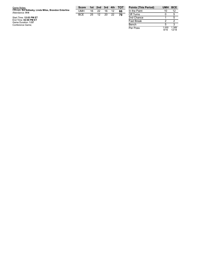| Game Notes:                                                               | <b>Score</b> |    | 1st 2nd 3rd      |     | 4th | тот | <b>Points</b> |
|---------------------------------------------------------------------------|--------------|----|------------------|-----|-----|-----|---------------|
| Officials: Ed Sidlasky, Linda Miles, Brandon Enterline<br>Attendance: 914 | UMH          | 16 | 22               | 16  | 12  | 66  | In the F      |
|                                                                           | <b>BCE</b>   | 25 | 12 <sup>12</sup> | -20 | 22  | 79  | Off Turi      |
| Start Time: 12:03 PM ET                                                   |              |    |                  |     |     |     | 2nd Ch        |
| End Time: 02:00 PM ET<br>Game Duration: 1:57                              |              |    |                  |     |     |     | Fast Br       |
| Conference Game:                                                          |              |    |                  |     |     |     | Bench         |

| <b>Points (This Period)</b> | UMH           | <b>BCE</b>     |
|-----------------------------|---------------|----------------|
| In the Paint                | 10            | 12             |
| Off Turns                   |               | 5              |
| 2nd Chance                  |               | 5              |
| <b>Fast Break</b>           | 2             | 2              |
| Bench                       | 5             | 3              |
| Per Poss                    | 1.000<br>8/16 | 1.389<br>12/18 |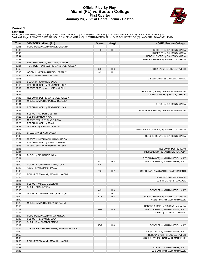### **Official Play-By-Play Miami (FL) vs Boston College First Quarter January 23, 2022 at Conte Forum - Boston**



#### **Period 1**

<mark>Startersː</mark><br>Miami (FL): 3 HARDEN,DESTINY (F); 12 WILLIAMS,JA'LEAH (G); 20 MARSHALL,KELSEY (G); 21 PENDANDE,LOLA (F); 25 ERJAVEC,KARLA (G);<br>**Boston College**: 1 SWARTZ,CAMERON (G); 5 GAKDENG,MARIA (C); 12 VANTIMMEREN,ALLY (F

| Time           | <b>VISITORS: Miami (FL)</b>             | <b>Score</b> | <b>Margin</b>  | <b>HOME: Boston College</b>            |
|----------------|-----------------------------------------|--------------|----------------|----------------------------------------|
| 09:45          | FOUL (PERSONAL) by HARDEN, DESTINY      |              |                |                                        |
| 09:45          |                                         | $1-0$        | H <sub>1</sub> | GOOD! FT by GAKDENG, MARIA             |
| 09:45          |                                         |              |                | MISSED FT by GAKDENG, MARIA            |
| 09:44          |                                         |              |                | REBOUND (OFF) by GAKDENG, MARIA        |
| 09:28          |                                         |              |                | MISSED JUMPER by SWARTZ, CAMERON       |
| 09:25          | REBOUND (DEF) by WILLIAMS, JA'LEAH      |              |                |                                        |
| 09:21          | TURNOVER (BADPASS) by MARSHALL, KELSEY  |              |                |                                        |
| 08:56          |                                         | $3-0$        | $H_3$          | GOOD! LAYUP by SOULE, TAYLOR           |
| 08:38          | GOOD! JUMPER by HARDEN, DESTINY         | $3-2$        | H <sub>1</sub> |                                        |
| 08:38          | ASSIST by WILLIAMS, JA'LEAH             |              |                |                                        |
| 08:15          |                                         |              |                | MISSED LAYUP by GAKDENG, MARIA         |
| 08:15          | BLOCK by PENDANDE, LOLA                 |              |                |                                        |
| 08:12          | REBOUND (DEF) by PENDANDE, LOLA         |              |                |                                        |
| 08:02          | MISSED 3PTR by WILLIAMS, JA'LEAH        |              |                |                                        |
| 07:59          |                                         |              |                | REBOUND (DEF) by GARRAUD, MARNELLE     |
| 07:46          |                                         |              |                | MISSED JUMPER by SOULE, TAYLOR         |
| 07:43          | REBOUND (DEF) by MARSHALL, KELSEY       |              |                |                                        |
| 07:31<br>07:31 | MISSED JUMPER by PENDANDE, LOLA         |              |                |                                        |
| 07:29          | REBOUND (OFF) by PENDANDE, LOLA         |              |                | BLOCK by GAKDENG, MARIA                |
| 07:28          |                                         |              |                | FOUL (PERSONAL) by GARRAUD, MARNELLE   |
| 07:28          | SUB OUT: HARDEN, DESTINY                |              |                |                                        |
| 07:28          | SUB IN: MBANDU, NAOMI                   |              |                |                                        |
| 07:28          | MISSED FT by PENDANDE, LOLA             |              |                |                                        |
| 07:28          | REBOUND (OFF) by TEAM                   |              |                |                                        |
| 07:28          | GOOD! FT by PENDANDE, LOLA              | $3 - 3$      | T              |                                        |
| 07:16          |                                         |              |                | TURNOVER (LOSTBALL) by SWARTZ, CAMERON |
| 07:16          | STEAL by WILLIAMS, JA'LEAH              |              |                |                                        |
| 07:06          |                                         |              |                | FOUL (PERSONAL) by GAKDENG, MARIA      |
| 06:52          | MISSED JUMPER by WILLIAMS, JA'LEAH      |              |                |                                        |
| 06:49          | REBOUND (OFF) by MBANDU, NAOMI          |              |                |                                        |
| 06:48          | MISSED 3PTR by MARSHALL, KELSEY         |              |                |                                        |
| 06:46          |                                         |              |                | REBOUND (DEF) by TEAM                  |
| 06:34          |                                         |              |                | MISSED LAYUP by VANTIMMEREN, ALLY      |
| 06:34          | BLOCK by PENDANDE, LOLA                 |              |                |                                        |
| 06:31          |                                         |              |                | REBOUND (OFF) by VANTIMMEREN, ALLY     |
| 06:30          |                                         | $5 - 3$      | H <sub>2</sub> | GOOD! LAYUP by VANTIMMEREN, ALLY       |
| 06:19          | GOOD! LAYUP by PENDANDE, LOLA           | $5 - 5$      | T              |                                        |
| 06:19          | ASSIST by WILLIAMS, JA'LEAH             |              |                |                                        |
| 06:06          |                                         | $7 - 5$      | H <sub>2</sub> | GOOD! LAYUP by SWARTZ, CAMERON [PNT]   |
| 06:06          | FOUL (PERSONAL) by MBANDU, NAOMI        |              |                |                                        |
| 06:06          |                                         |              |                | SUB OUT: GAKDENG, MARIA                |
| 06:06          |                                         |              |                | SUB IN: DICKENS, MAKAYLA               |
| 06:06          | SUB OUT: WILLIAMS, JA'LEAH              |              |                |                                        |
| 06:06          | SUB IN: GRAY, MYKEA                     |              |                |                                        |
| 06:06          |                                         | $8-5$        | $H_3$          | GOOD! FT by VANTIMMEREN, ALLY          |
| 05:53          | GOOD! LAYUP by ERJAVEC, KARLA [PNT]     | $8 - 7$      | H <sub>1</sub> |                                        |
| 05:40          |                                         | $10 - 7$     | $H_3$          | GOOD! JUMPER by SWARTZ, CAMERON        |
| 05:40          |                                         |              |                | ASSIST by GARRAUD, MARNELLE            |
| 05:22          | MISSED JUMPER by MBANDU, NAOMI          |              |                |                                        |
| 05:19          |                                         |              |                | REBOUND (DEF) by DICKENS, MAKAYLA      |
| 05:09          |                                         | $12 - 7$     | H <sub>5</sub> | GOOD! LAYUP by VANTIMMEREN, ALLY       |
| 05:09          |                                         |              |                | ASSIST by DICKENS, MAKAYLA             |
| 05:09          | FOUL (PERSONAL) by GRAY, MYKEA          |              |                |                                        |
| 05:09<br>05:09 | SUB OUT: PENDANDE, LOLA                 |              |                |                                        |
| 05:09          | SUB IN: DJALDI-TABDI, MAEVA             | $13 - 7$     | H <sub>6</sub> |                                        |
| 05:09          | TURNOVER (OUTOFBOUNDS) by MBANDU, NAOMI |              |                | GOOD! FT by VANTIMMEREN, ALLY          |
| 04:59          |                                         |              |                | MISSED 3PTR by VANTIMMEREN, ALLY       |
| 04:56          |                                         |              |                | REBOUND (OFF) by SOULE, TAYLOR         |
| 04:35          |                                         |              |                | MISSED LAYUP by GARRAUD, MARNELLE      |
| 04:33          | FOUL (PERSONAL) by MBANDU, NAOMI        |              |                |                                        |
| 04:33          |                                         |              |                |                                        |
| 04:33          |                                         |              |                | SUB OUT: VANTIMMEREN, ALLY             |
| 04:33          |                                         |              |                | SUB OUT: GARRAUD, MARNELLE             |
|                |                                         |              |                |                                        |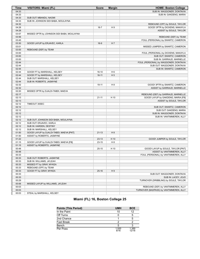| <b>Time</b> | <b>VISITORS: Miami (FL)</b>                | <b>Score</b> | <b>Margin</b>  | <b>HOME: Boston College</b>             |
|-------------|--------------------------------------------|--------------|----------------|-----------------------------------------|
| 04:33       |                                            |              |                | SUB IN: WAGGONER, DONTAVIA              |
| 04:33       |                                            |              |                | SUB IN: GAKDENG, MARIA                  |
| 04:33       | SUB OUT: MBANDU, NAOMI                     |              |                |                                         |
| 04:33       | SUB IN: JOHNSON SIDI BABA, MOULAYNA        |              |                |                                         |
| 04:32       |                                            |              |                | REBOUND (OFF) by SOULE, TAYLOR          |
| 04:28       |                                            | $16 - 7$     | H <sub>9</sub> | GOOD! 3PTR by DICKENS, MAKAYLA          |
| 04:28       |                                            |              |                | ASSIST by SOULE, TAYLOR                 |
| 03:57       | MISSED 3PTR by JOHNSON SIDI BABA, MOULAYNA |              |                |                                         |
| 03:56       |                                            |              |                | REBOUND (DEF) by TEAM                   |
| 03:45       |                                            |              |                | FOUL (PERSONAL) by SWARTZ, CAMERON      |
| 03:30       | GOOD! LAYUP by ERJAVEC, KARLA              | $16-9$       | H 7            |                                         |
| 03:01       |                                            |              |                | MISSED JUMPER by SWARTZ, CAMERON        |
| 03:00       | REBOUND (DEF) by TEAM                      |              |                |                                         |
| 03:00       |                                            |              |                | FOUL (PERSONAL) by DICKENS, MAKAYLA     |
| 03:00       |                                            |              |                | SUB OUT: SWARTZ, CAMERON                |
| 03:00       |                                            |              |                | SUB IN: GARRAUD, MARNELLE               |
| 02:44       |                                            |              |                | FOUL (PERSONAL) by WAGGONER, DONTAVIA   |
| 02:44       |                                            |              |                | SUB OUT: WAGGONER, DONTAVIA             |
| 02:44       |                                            |              |                | SUB IN: SWARTZ, CAMERON                 |
| 02:44       | GOOD! FT by MARSHALL, KELSEY               | $16-10$      | H <sub>6</sub> |                                         |
| 02:44       | GOOD! FT by MARSHALL, KELSEY               | $16-11$      | H <sub>5</sub> |                                         |
| 02:44       | SUB OUT: MARSHALL, KELSEY                  |              |                |                                         |
| 02:44       | SUB IN: ROBERTS, JASMYNE                   |              |                |                                         |
| 02:32       |                                            | 19-11        | H <sub>8</sub> | GOOD! 3PTR by SWARTZ, CAMERON           |
| 02:32       |                                            |              |                | ASSIST by GARRAUD, MARNELLE             |
| 02:20       | MISSED 3PTR by DJALDI-TABDI, MAEVA         |              |                |                                         |
| 02:17       |                                            |              |                | REBOUND (DEF) by GARRAUD, MARNELLE      |
| 02:13       |                                            | $21 - 11$    | H 10           | GOOD! LAYUP by GAKDENG, MARIA [FB]      |
| 02:13       |                                            |              |                | ASSIST by SOULE, TAYLOR                 |
| 02:12       | TIMEOUT 30SEC                              |              |                |                                         |
| 02:12       |                                            |              |                | SUB OUT: SWARTZ, CAMERON                |
| 02:12       |                                            |              |                | SUB OUT: GAKDENG, MARIA                 |
| 02:12       |                                            |              |                | SUB IN: WAGGONER, DONTAVIA              |
| 02:12       |                                            |              |                | SUB IN: VANTIMMEREN, ALLY               |
| 02:12       | SUB OUT: JOHNSON SIDI BABA, MOULAYNA       |              |                |                                         |
| 02:12       | SUB OUT: ERJAVEC, KARLA                    |              |                |                                         |
| 02:12       | SUB IN: HARDEN, DESTINY                    |              |                |                                         |
| 02:12       | SUB IN: MARSHALL, KELSEY                   |              |                |                                         |
| 01:50       | GOOD! LAYUP by DJALDI-TABDI, MAEVA [PNT]   | $21 - 13$    | H 8            |                                         |
| 01:50       | ASSIST by ROBERTS, JASMYNE                 |              |                |                                         |
| 01:22       |                                            | $23-13$      | H 10           | GOOD! JUMPER by SOULE, TAYLOR           |
| 01:15       | GOOD! LAYUP by DJALDI-TABDI, MAEVA [FB]    | $23 - 15$    | H <sub>8</sub> |                                         |
| 01:15       | ASSIST by ROBERTS, JASMYNE                 |              |                |                                         |
| 00:48       |                                            | $25 - 15$    | H 10           | GOOD! LAYUP by SOULE, TAYLOR [PNT]      |
| 00:48       |                                            |              |                | ASSIST by VANTIMMEREN, ALLY             |
| 00:33       |                                            |              |                | FOUL (PERSONAL) by VANTIMMEREN, ALLY    |
| 00:33       | SUB OUT: ROBERTS, JASMYNE                  |              |                |                                         |
| 00:33       | SUB IN: WILLIAMS, JA'LEAH                  |              |                |                                         |
| 00:33       | MISSED FT by GRAY, MYKEA                   |              |                |                                         |
| 00:33       | REBOUND (OFF) by TEAM                      |              |                |                                         |
| 00:33       | GOOD! FT by GRAY, MYKEA                    | $25 - 16$    | H9             |                                         |
| 00:33       |                                            |              |                | SUB OUT: WAGGONER, DONTAVIA             |
| 00:33       |                                            |              |                | SUB IN: LACEY, JOJO                     |
| 00:29       |                                            |              |                | TURNOVER (DRIBBLING) by SOULE, TAYLOR   |
| 00:06       | MISSED LAYUP by WILLIAMS, JA'LEAH          |              |                |                                         |
| 00:03       |                                            |              |                | REBOUND (DEF) by VANTIMMEREN, ALLY      |
| 00:03       |                                            |              |                | TURNOVER (BADPASS) by VANTIMMEREN, ALLY |
| 00:03       |                                            |              |                |                                         |
|             | STEAL by MARSHALL, KELSEY                  |              |                |                                         |

# **Miami (FL) 16, Boston College 25**

| <b>Points (This Period)</b> | <b>UMH</b>    | <b>BCE</b>     |
|-----------------------------|---------------|----------------|
| In the Paint                | 10            | 12             |
| Off Turns                   |               |                |
| 2nd Chance                  |               |                |
| <b>Fast Break</b>           |               |                |
| Bench                       |               |                |
| Per Poss                    | 1.000<br>8/16 | 1.389<br>12/18 |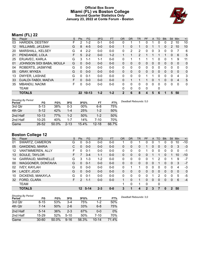### **Official Box Score Miami (FL) vs Boston College Second Quarter Statistics Only January 23, 2022 at Conte Forum - Boston**



# **Miami (FL) 22**

| No.               | Plaver                   | S | <b>Pts</b>      | <b>FG</b> | 3FG     | <b>FT</b> | <b>OR</b>    | <b>DR</b> | TR             | <b>PF</b> | $\mathsf{A}$ | TO       | <b>BIK</b> | <b>Stl</b>   | Min            | $+/-$        |
|-------------------|--------------------------|---|-----------------|-----------|---------|-----------|--------------|-----------|----------------|-----------|--------------|----------|------------|--------------|----------------|--------------|
| 03                | HARDEN, DESTINY          | F | 2               | $1 - 2$   | $0 - 1$ | $0 - 0$   | 0            |           |                | 0         |              | 0        | 0          | 2            | 10             | 10           |
| $12 \overline{ }$ | WILLIAMS, JA'LEAH        | G | 8               | $4 - 5$   | $0 - 0$ | $0 - 0$   | 1            | 0         | 1              | 0         |              |          | 0          | 2            | 10             | 10           |
| 20                | MARSHALL, KELSEY         | G | 4               | $2 - 2$   | $0 - 0$ | $0-0$     | 0            | 2         | 2              | 0         | 0            | 3        | 0          | 0            |                | 6            |
| 21                | PENDANDE, LOLA           | F | 5               | $2 - 2$   | $0 - 0$ | $1 - 2$   |              |           | $\overline{2}$ |           |              |          | 1          | $\Omega$     | 6              | 5            |
| 25                | ERJAVEC, KARLA           | G | 3               | $1 - 1$   | $1 - 1$ | $0 - 0$   | $\Omega$     |           |                |           |              | 0        | 0          |              | 9              | 11           |
| 01                | JOHNSON SIDI BABA, MOULA | G | 0               | $0 - 0$   | $0 - 0$ | $0 - 0$   | $\Omega$     | $\Omega$  | 0              | 0         | $\mathbf{0}$ | $\Omega$ | 0          | $\mathbf{0}$ | $\Omega$       | $\mathbf{0}$ |
| 04                | ROBERTS, JASMYNE         | G | 0               | $0 - 0$   | $0 - 0$ | $0 - 0$   | $\Omega$     | $\Omega$  | 0              | $\Omega$  | $\mathbf{0}$ | 0        | 0          | $\Omega$     | $\Omega$       | $\mathbf{0}$ |
| 05                | <b>GRAY, MYKEA</b>       | G | 0               | $0 - 0$   | $0 - 0$ | $0 - 0$   | $\Omega$     | $\Omega$  | 0              | $\Omega$  | $\Omega$     | $\Omega$ | $\Omega$   | $\Omega$     | $\Omega$       | $\mathbf{0}$ |
| 13                | DWYER, LASHAE            | G | 0               | $0 - 1$   | $0 - 0$ | $0-0$     | 0            | 0         | 0              |           |              | 0        | 0          | 0            | 4              | 3            |
| 33                | DJALDI-TABDI, MAEVA      | F | $\Omega$        | $0 - 0$   | $0 - 0$ | $0 - 0$   | 0            |           |                |           | $\mathbf{0}$ |          | $\Omega$   | $\Omega$     | $\overline{4}$ | 5            |
| 35                | <b>MBANDU, NAOMI</b>     | F | U               | $0 - 0$   | $0-0$   | $0 - 0$   | $\Omega$     | 0         | $\Omega$       | $\Omega$  | $\Omega$     | $\Omega$ | $\Omega$   | $\Omega$     | $\Omega$       | $\mathbf{0}$ |
|                   | <b>TEAM</b>              |   |                 |           |         |           | $\Omega$     | 0         | 0              | $\Omega$  |              | 0        |            |              |                |              |
|                   | <b>TOTALS</b>            |   | 22 <sub>2</sub> | $10 - 13$ | $1 - 2$ | $1 - 2$   | $\mathbf{2}$ | 6         | 8              | 4         | 5            | 6        |            | 5            | 50             |              |

| <b>Shooting By Period</b><br>Period | FG        | FG%   | 3FG      | 3FG%  | FT        | FT%   | Deadball Rebounds: 5,0 |
|-------------------------------------|-----------|-------|----------|-------|-----------|-------|------------------------|
| 3rd Qtr                             | $5 - 13$  | 38%   | $0 - 3$  | 00%   | $6 - 8$   | 75%   |                        |
| 4th Qtr                             | $5 - 12$  | 42%   | $1 - 4$  | 25%   | $1 - 2$   | 50%   |                        |
| 2nd Half                            | $10 - 13$ | 77%   | $1 - 2$  | 50%   | 1-2       | 50%   |                        |
| 2nd Half                            | $10 - 25$ | 40%   | $1 - 7$  | 14%   | 7-10      | 70%   |                        |
| Game                                | 26-52     | 50.0% | $2 - 13$ | 15.4% | $12 - 18$ | 66.7% |                        |

# **Boston College 12**

| No. | Player                   | S  | Pts      | FG.     | 3FG     | <b>FT</b> | <b>OR</b>    | <b>DR</b> | TR           | PF | $\mathsf{A}$ | <b>TO</b> | <b>Blk</b> | Stl          | Min         | $+/-$        |
|-----|--------------------------|----|----------|---------|---------|-----------|--------------|-----------|--------------|----|--------------|-----------|------------|--------------|-------------|--------------|
| 01  | SWARTZ, CAMERON          | G  | $\Omega$ | $0 - 3$ | $0 - 0$ | $0 - 0$   |              | 0         |              | 0  | 0            |           |            | 0            | 10          | $-10$        |
| 05  | <b>GAKDENG, MARIA</b>    | С  | 0        | $0 - 0$ | $0 - 0$ | $0 - 0$   | 0            | 0         | 0            |    | 0            | 0         | 0          | $\mathbf{0}$ | 3           | $-3$         |
| 12  | VANTIMMEREN, ALLY        | F  | 0        | $0 - 1$ | $0 - 0$ | $0 - 0$   | 0            | 0         | 0            |    | 0            | 0         | 0          | 0            | $\mathbf 0$ | -1           |
| 13  | SOULE, TAYLOR            | F. |          | $3 - 4$ | $1 - 1$ | $0 - 0$   | $\Omega$     | 0         | 0            | 0  |              |           | 0          |              | 10          | $-10$        |
| 14  | <b>GARRAUD, MARNELLE</b> | G  | 3        | $1 - 3$ | $1 - 2$ | $0 - 0$   | $\Omega$     | $\Omega$  | 0            | 0  |              | 2         | $\Omega$   |              | 9           | $-7$         |
| 00  | WAGGONER, DONTAVIA       | G  | 0        | $0 - 1$ | $0 - 0$ | $0 - 0$   | $\mathbf{0}$ | $\Omega$  | 0            | 0  | $\mathbf{0}$ |           | 0          | $\Omega$     | 3           | $-7$         |
| 02  | <b>IVEY, KAYLAH</b>      | G  | 0        | $0 - 0$ | $0 - 0$ | $0-0$     | 0            |           | 1            | 0  | 0            | 0         | 0          | $\Omega$     | 4           | $-3$         |
| 04  | LACEY, JOJO              | G  | $\Omega$ | $0 - 0$ | $0 - 0$ | $0 - 0$   | $\Omega$     | 0         | 0            | 0  | $\Omega$     | $\Omega$  | 0          | $\Omega$     | $\Omega$    | $\mathbf{0}$ |
| 10  | DICKENS, MAKAYLA         | G  | $\Omega$ | $0 - 1$ | $0 - 0$ | $0 - 0$   | 0            | $\Omega$  | 0            | 0  |              | 2         | 0          | 0            | 5           | -5           |
| 32  | FORD, CLARA              | F. | 2        | $1 - 1$ | $0 - 0$ | $0 - 0$   |              | $\Omega$  | $\mathbf{1}$ | 0  | $\mathbf{0}$ | 0         | 0          | $\mathbf{0}$ | 6           | $-4$         |
|     | TEAM                     |    |          |         |         |           | 1            | 0         | 1            | 0  |              | 0         |            |              |             |              |
|     | <b>TOTALS</b>            |    | 12       | $5-14$  | $2 - 3$ | $0 - 0$   | 3            |           | 4            | 2  | 3            |           | 0          | 2            | 50          |              |

| <b>Shooting By Period</b><br>Period | FG        | FG%   | 3FG      | 3FG%  | FT        | FT%   |
|-------------------------------------|-----------|-------|----------|-------|-----------|-------|
| 3rd Qtr                             | $8 - 15$  | 53%   | $3-4$    | 75%   | $1 - 2$   | 50%   |
| 4th Qtr                             | $7 - 14$  | 50%   | $2 - 6$  | 33%   | $6-8$     | 75%   |
| 2nd Half                            | $5 - 14$  | 36%   | $2-3$    | 67%   | $0 - 0$   | $0\%$ |
| 2nd Half                            | $15-29$   | 52%   | $5 - 10$ | 50%   | $7 - 10$  | 70%   |
| Game                                | $30 - 60$ | 50.0% | $9 - 16$ | 56.3% | $10 - 14$ | 71.4% |

*Deadball Rebounds:* 3,0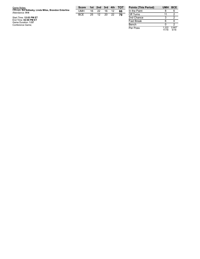| Game Notes:                                                               | <b>Score</b> |    | 1st 2nd 3rd 4th |       |    | <b>TOT</b> | <b>Points (1</b> |
|---------------------------------------------------------------------------|--------------|----|-----------------|-------|----|------------|------------------|
| Officials: Ed Sidlasky, Linda Miles, Brandon Enterline<br>Attendance: 914 | UMH          | 16 | 22              | 16    |    | 66         | In the Pa        |
|                                                                           | <b>BCF</b>   | 25 |                 | 12 20 | 22 | 79         | Off Turns        |
| Start Time: 12:03 PM ET                                                   |              |    |                 |       |    |            | 2nd Char         |
| End Time: 02:00 PM ET<br>Game Duration: 1:57                              |              |    |                 |       |    |            | <b>Fast Brea</b> |
| Conference Game;                                                          |              |    |                 |       |    |            | Bench            |

| <b>Points (This Period)</b> | UMH            | <b>BCE</b>    |
|-----------------------------|----------------|---------------|
| In the Paint                | 8              | հ             |
| Off Turns                   | 11             | 2             |
| 2nd Chance                  | 3              | 2             |
| <b>Fast Break</b>           | հ              |               |
| Bench                       |                | 2             |
| Per Poss                    | 1.222<br>11/18 | 0.667<br>5/18 |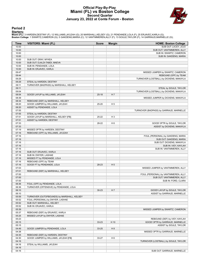### **Official Play-By-Play Miami (FL) vs Boston College Second Quarter January 23, 2022 at Conte Forum - Boston**



#### **Period 2**

<mark>Startersː</mark><br>Miami (FL): 3 HARDEN,DESTINY (F); 12 WILLIAMS,JA'LEAH (G); 20 MARSHALL,KELSEY (G); 21 PENDANDE,LOLA (F); 25 ERJAVEC,KARLA (G);<br>**Boston College**: 1 SWARTZ,CAMERON (G); 5 GAKDENG,MARIA (C); 12 VANTIMMEREN,ALLY (F

| Time           | <b>VISITORS: Miami (FL)</b>                | <b>Score</b> | <b>Margin</b>  | <b>HOME: Boston College</b>             |
|----------------|--------------------------------------------|--------------|----------------|-----------------------------------------|
| 10:00          |                                            |              |                | SUB OUT: LACEY, JOJO                    |
| 10:00          |                                            |              |                | SUB OUT: VANTIMMEREN, ALLY              |
| 10:00          |                                            |              |                | SUB IN: SWARTZ, CAMERON                 |
| 10:00          |                                            |              |                | SUB IN: GAKDENG, MARIA                  |
| 10:00          | SUB OUT: GRAY, MYKEA                       |              |                |                                         |
| 10:00          | SUB OUT: DJALDI-TABDI, MAEVA               |              |                |                                         |
| 10:00          | SUB IN: PENDANDE, LOLA                     |              |                |                                         |
| 10:00          | SUB IN: ERJAVEC, KARLA                     |              |                |                                         |
| 09:47          |                                            |              |                | MISSED JUMPER by SWARTZ, CAMERON        |
| 09:44          |                                            |              |                | REBOUND (OFF) by TEAM                   |
| 09:29          |                                            |              |                | TURNOVER (LOSTBALL) by DICKENS, MAKAYLA |
| 09:29          | STEAL by HARDEN, DESTINY                   |              |                |                                         |
| 09:11          | TURNOVER (BADPASS) by MARSHALL, KELSEY     |              |                |                                         |
| 09:11<br>09:04 |                                            |              |                | STEAL by SOULE, TAYLOR                  |
| 08:54          |                                            |              | H 7            | TURNOVER (LOSTBALL) by DICKENS, MAKAYLA |
| 08:39          | GOOD! LAYUP by WILLIAMS, JA'LEAH           | $25-18$      |                |                                         |
| 08:34          | REBOUND (DEF) by MARSHALL, KELSEY          |              |                | MISSED JUMPER by DICKENS, MAKAYLA       |
| 08:20          | GOOD! JUMPER by WILLIAMS, JA'LEAH          | $25 - 20$    | H <sub>5</sub> |                                         |
| 08:20          | ASSIST by PENDANDE, LOLA                   |              |                |                                         |
| 07:55          |                                            |              |                | TURNOVER (BADPASS) by GARRAUD, MARNELLE |
| 07:55          | STEAL by HARDEN, DESTINY                   |              |                |                                         |
| 07:51          | GOOD! LAYUP by MARSHALL, KELSEY [FB]       | 25-22        | $H_3$          |                                         |
| 07:51          | ASSIST by HARDEN, DESTINY                  |              |                |                                         |
| 07:33          |                                            | 28-22        | H <sub>6</sub> | GOOD! 3PTR by SOULE, TAYLOR             |
| 07:33          |                                            |              |                | ASSIST by DICKENS, MAKAYLA              |
| 07:19          | MISSED 3PTR by HARDEN, DESTINY             |              |                |                                         |
| 07:16          | REBOUND (OFF) by WILLIAMS, JA'LEAH         |              |                |                                         |
| 07:16          |                                            |              |                | FOUL (PERSONAL) by GAKDENG, MARIA       |
| 07:16          |                                            |              |                | SUB OUT: GAKDENG, MARIA                 |
| 07:16          |                                            |              |                | SUB OUT: DICKENS, MAKAYLA               |
| 07:16          |                                            |              |                | SUB IN: IVEY, KAYLAH                    |
| 07:16          |                                            |              |                | SUB IN: VANTIMMEREN, ALLY               |
| 07:16          | SUB OUT: ERJAVEC, KARLA                    |              |                |                                         |
| 07:16          | SUB IN: DWYER, LASHAE                      |              |                |                                         |
| 07:16          | MISSED FT by PENDANDE, LOLA                |              |                |                                         |
| 07:16          | REBOUND (OFF) by TEAM                      |              |                |                                         |
| 07:16          | GOOD! FT by PENDANDE, LOLA                 | 28-23        | H <sub>5</sub> |                                         |
| 07:03          |                                            |              |                | MISSED JUMPER by VANTIMMEREN, ALLY      |
| 07:01          | REBOUND (DEF) by MARSHALL, KELSEY          |              |                |                                         |
| 07:00          |                                            |              |                | FOUL (PERSONAL) by VANTIMMEREN, ALLY    |
| 07:00          |                                            |              |                | SUB OUT: VANTIMMEREN, ALLY              |
| 07:00          |                                            |              |                | SUB IN: FORD, CLARA                     |
| 06:36          | FOUL (OFF) by PENDANDE, LOLA               |              |                |                                         |
| 06:36          | TURNOVER (OFFENSIVE) by PENDANDE, LOLA     |              |                |                                         |
| 06:10          |                                            | $30 - 23$    | H 7            | GOOD! LAYUP by SOULE, TAYLOR            |
| 06:10          |                                            |              |                | ASSIST by GARRAUD, MARNELLE             |
| 05:59          | TURNOVER (OUTOFBOUNDS) by MARSHALL, KELSEY |              |                |                                         |
| 05:52          | FOUL (PERSONAL) by DWYER, LASHAE           |              |                |                                         |
| 05:52          | SUB OUT: MARSHALL, KELSEY                  |              |                |                                         |
| 05:52          | SUB IN: ERJAVEC, KARLA                     |              |                |                                         |
| 05:39          |                                            |              |                | MISSED JUMPER by SWARTZ, CAMERON        |
| 05:37          | REBOUND (DEF) by ERJAVEC, KARLA            |              |                |                                         |
| 05:25          | MISSED LAYUP by DWYER, LASHAE              |              |                |                                         |
| 05:23          |                                            |              |                | REBOUND (DEF) by IVEY, KAYLAH           |
| 05:15          |                                            | 33-23        | H 10           | GOOD! 3PTR by GARRAUD, MARNELLE         |
| 05:15          |                                            |              |                | ASSIST by SOULE, TAYLOR                 |
| 04:49          | GOOD! JUMPER by PENDANDE, LOLA             | 33-25        | H <sub>8</sub> |                                         |
| 04:38          |                                            |              |                | MISSED 3PTR by GARRAUD, MARNELLE        |
| 04:35          | REBOUND (DEF) by HARDEN, DESTINY           |              |                |                                         |
| 04:30          | GOOD! JUMPER by WILLIAMS, JA'LEAH [FB]     | 33-27        | H <sub>6</sub> |                                         |
| 04:16          |                                            |              |                | TURNOVER (LOSTBALL) by SOULE, TAYLOR    |
| 04:16          | STEAL by WILLIAMS, JA'LEAH                 |              |                |                                         |
| 04:16          |                                            |              |                |                                         |
| 04:16          |                                            |              |                | SUB OUT: GARRAUD, MARNELLE              |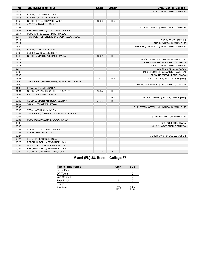| <b>Time</b> | <b>VISITORS: Miami (FL)</b>                 | <b>Score</b> | <b>Margin</b>  | <b>HOME: Boston College</b>               |
|-------------|---------------------------------------------|--------------|----------------|-------------------------------------------|
| 04:16       |                                             |              |                | SUB IN: WAGGONER, DONTAVIA                |
| 04:16       | SUB OUT: PENDANDE, LOLA                     |              |                |                                           |
| 04:16       | SUB IN: DJALDI-TABDI, MAEVA                 |              |                |                                           |
| 03:58       | GOOD! 3PTR by ERJAVEC, KARLA                | 33-30        | $H_3$          |                                           |
| 03:58       | ASSIST by DWYER, LASHAE                     |              |                |                                           |
| 03:37       |                                             |              |                | MISSED JUMPER by WAGGONER, DONTAVIA       |
| 03:33       | REBOUND (DEF) by DJALDI-TABDI, MAEVA        |              |                |                                           |
| 03:17       | FOUL (OFF) by DJALDI-TABDI, MAEVA           |              |                |                                           |
| 03:17       | TURNOVER (OFFENSIVE) by DJALDI-TABDI, MAEVA |              |                |                                           |
| 03:17       |                                             |              |                | SUB OUT: IVEY, KAYLAH                     |
| 03:17       |                                             |              |                | SUB IN: GARRAUD, MARNELLE                 |
| 03:00       |                                             |              |                | TURNOVER (LOSTBALL) by WAGGONER, DONTAVIA |
| 03:00       | SUB OUT: DWYER, LASHAE                      |              |                |                                           |
| 03:00       | SUB IN: MARSHALL, KELSEY                    |              |                |                                           |
| 02:46       | GOOD! JUMPER by WILLIAMS, JA'LEAH           | 33-32        | H <sub>1</sub> |                                           |
| 02:21       |                                             |              |                | MISSED JUMPER by GARRAUD, MARNELLE        |
| 02:17       |                                             |              |                | REBOUND (OFF) by SWARTZ, CAMERON          |
| 02:17       |                                             |              |                | SUB OUT: WAGGONER, DONTAVIA               |
| 02:17       |                                             |              |                | SUB IN: DICKENS, MAKAYLA                  |
| 02:03       |                                             |              |                | MISSED JUMPER by SWARTZ, CAMERON          |
| 02:00       |                                             |              |                | REBOUND (OFF) by FORD, CLARA              |
| 01:59       |                                             | 35-32        | $H_3$          | GOOD! LAYUP by FORD, CLARA [PNT]          |
| 01:54       | TURNOVER (OUTOFBOUNDS) by MARSHALL, KELSEY  |              |                |                                           |
| 01:39       |                                             |              |                | TURNOVER (BADPASS) by SWARTZ, CAMERON     |
| 01:39       | STEAL by ERJAVEC, KARLA                     |              |                |                                           |
| 01:31       | GOOD! LAYUP by MARSHALL, KELSEY [FB]        | 35-34        | H <sub>1</sub> |                                           |
| 01:31       | ASSIST by ERJAVEC, KARLA                    |              |                |                                           |
| 01:10       |                                             | 37-34        | $H_3$          | GOOD! JUMPER by SOULE, TAYLOR [PNT]       |
| 00:59       | GOOD! JUMPER by HARDEN, DESTINY             | 37-36        | H <sub>1</sub> |                                           |
| 00:59       | ASSIST by WILLIAMS, JA'LEAH                 |              |                |                                           |
| 00:46       |                                             |              |                | TURNOVER (LOSTBALL) by GARRAUD, MARNELLE  |
| 00:46       | STEAL by WILLIAMS, JA'LEAH                  |              |                |                                           |
| 00:41       | TURNOVER (LOSTBALL) by WILLIAMS, JA'LEAH    |              |                |                                           |
| 00:41       |                                             |              |                | STEAL by GARRAUD, MARNELLE                |
| 00:38       | FOUL (PERSONAL) by ERJAVEC, KARLA           |              |                |                                           |
| 00:38       |                                             |              |                | SUB OUT: FORD, CLARA                      |
| 00:38       |                                             |              |                | SUB IN: WAGGONER, DONTAVIA                |
| 00:38       | SUB OUT: DJALDI-TABDI, MAEVA                |              |                |                                           |
| 00:38       | SUB IN: PENDANDE, LOLA                      |              |                |                                           |
| 00:24       |                                             |              |                | MISSED LAYUP by SOULE, TAYLOR             |
| 00:24       | BLOCK by PENDANDE, LOLA                     |              |                |                                           |
| 00:20       | REBOUND (DEF) by PENDANDE, LOLA             |              |                |                                           |
| 00:04       | MISSED LAYUP by WILLIAMS, JA'LEAH           |              |                |                                           |
| 00:02       | REBOUND (OFF) by PENDANDE, LOLA             |              |                |                                           |
| 00:02       | GOOD! LAYUP by PENDANDE, LOLA               | 37-38        | V <sub>1</sub> |                                           |

| Miami (FL) 38, Boston College 37 |  |  |  |  |
|----------------------------------|--|--|--|--|
|----------------------------------|--|--|--|--|

| <b>Points (This Period)</b> | <b>UMH</b>     | <b>BCE</b>    |
|-----------------------------|----------------|---------------|
| In the Paint                |                |               |
| Off Turns                   |                |               |
| 2nd Chance                  | 3              |               |
| Fast Break                  | 6              |               |
| Bench                       |                |               |
| Per Poss                    | 1 222<br>11/18 | 0.667<br>5/18 |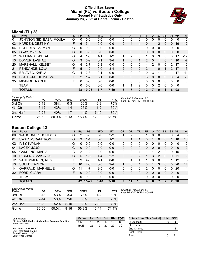### **Official Box Score Miami (FL) vs Boston College Second Half Statistics Only January 23, 2022 at Conte Forum - Boston**



## **Miami (FL) 28**

| No. | Player                   | S  | <b>Pts</b>   | FG        | 3FG     | <b>FT</b> | <b>OR</b>    | <b>DR</b>    | TR | <b>PF</b>     | A            | TO | <b>Blk</b> | Stl            | <b>Min</b> | $+/-$        |
|-----|--------------------------|----|--------------|-----------|---------|-----------|--------------|--------------|----|---------------|--------------|----|------------|----------------|------------|--------------|
| 01  | JOHNSON SIDI BABA, MOULA | G  | 0            | $0 - 0$   | $0-0$   | $0-0$     | 0            | 0            | 0  | 0             | $\Omega$     | 0  | 0          | 0              | 0          | 0            |
| 03  | <b>HARDEN, DESTINY</b>   | F  | 6            | $3 - 4$   | $0 - 0$ | $0 - 0$   | $\Omega$     | 4            | 4  | 0             |              | 2  | 0          | 0              | 19         | $-12$        |
| 04  | ROBERTS, JASMYNE         | G  | 0            | $0 - 0$   | $0 - 0$ | $0 - 0$   | $\mathbf{0}$ | 0            | 0  | 0             | 0            | 0  | 0          | 0              | 0          | 0            |
| 05  | <b>GRAY, MYKEA</b>       | G  | $\mathbf{0}$ | $0 - 0$   | $0 - 0$ | $0 - 0$   | $\Omega$     | $\mathbf{0}$ | 0  | $\mathbf{0}$  | $\mathbf{0}$ | 0  | 0          | $\Omega$       | $\Omega$   | 0            |
| 12  | <b>WILLIAMS, JA'LEAH</b> | G  | 4            | $1-5$     | $1 - 1$ | $1 - 2$   |              | 2            | 3  |               | 0            | 3  | 0          | $\Omega$       | 17         | $-12$        |
| 13  | DWYER, LASHAE            | G  | 3            | $0 - 2$   | $0 - 1$ | $3 - 4$   |              | $\Omega$     |    | 2             | $\Omega$     |    | 0          |                | 10         | $-7$         |
| 20  | MARSHALL, KELSEY         | G  | 4            | $2 - 7$   | $0 - 3$ | $0 - 0$   | $\Omega$     | 0            | 0  | 4             | 2            | 0  | 0          | $\overline{2}$ | 17         | $-12$        |
| 21  | PENDANDE, LOLA           | F  | 5            | $1 - 2$   | $0 - 0$ | $3 - 4$   | 2            | $\mathbf{0}$ | 2  | $\mathcal{P}$ |              | 0  | 1          | $\mathcal{P}$  | 17         | $-13$        |
| 25  | <b>ERJAVEC, KARLA</b>    | G  | 4            | $2 - 3$   | $0 - 1$ | $0 - 0$   | 0            | 0            | 0  | 0             | 3            |    | O          |                | 17         | -11          |
| 33  | DJALDI-TABDI, MAEVA      | F. | 2            | $1 - 2$   | $0 - 1$ | $0 - 0$   | $\Omega$     | $\Omega$     | 0  | 3             | $\Omega$     | 0  | 0          | $\Omega$       | 4          | $-3$         |
| 35  | <b>MBANDU, NAOMI</b>     | F. | 0            | $0 - 0$   | $0 - 0$ | $0 - 0$   | $\Omega$     | $\Omega$     | 0  | $\Omega$      | $\Omega$     | 0  | 0          | $\Omega$       | $\Omega$   | $\mathbf{0}$ |
|     | TEAM                     |    | 0            | $0 - 0$   | $0 - 0$ | $0 - 0$   |              |              | 2  | $\Omega$      | $\Omega$     | 2  | 0          | 0              | 0          |              |
|     | <b>TOTALS</b>            |    | 28           | $10 - 25$ | $1 - 7$ | $7 - 10$  | 5            |              | 12 | 12            |              | 9  |            | 6              | 98         |              |

| <b>Shooting By Period</b><br>Period | FG        | FG%   | 3FG      | 3FG%   | FТ        | FT%   |
|-------------------------------------|-----------|-------|----------|--------|-----------|-------|
| 3rd Otr                             | $5 - 13$  | 38%   | 0-3      | $00\%$ | 6-8       | 75%   |
| 4th Otr                             | $5 - 12$  | 42%   | $1 - 4$  | 25%    | $1 - 2$   | 50%   |
| 2nd Half                            | $10 - 25$ | 40%   | $1 - 7$  | 14%    | 7-10      | 70%   |
| Game                                | 26-52     | 50.0% | $2 - 13$ | 15.4%  | $12 - 18$ | 66.7% |

*Deadball Rebounds:* 5,0 *Last FG Half:* UMH 4th-00:23

# **Boston College 42**

| No. | Plaver                   | S  | Pts      | <b>FG</b> | 3FG     | <b>FT</b> | <b>OR</b> | D <sub>R</sub> | <b>TR</b> | PF             | A        | TO            | <b>Blk</b> | Stl         | Min         | $+/-$       |
|-----|--------------------------|----|----------|-----------|---------|-----------|-----------|----------------|-----------|----------------|----------|---------------|------------|-------------|-------------|-------------|
| 00  | WAGGONER, DONTAVIA       | G  | 2        | $0 - 0$   | $0 - 0$ | $2 - 2$   |           | 2              | 3         |                | 0        | 0             | $\Omega$   | 0           | 4           | 5           |
| 01  | SWARTZ, CAMERON          | G  | 3        | $1 - 4$   | $0 - 0$ | $1 - 2$   | 0         |                |           | 0              |          | 0             | 0          |             | 18          | 13          |
| 02  | <b>IVEY, KAYLAH</b>      | G  | 0        | $0 - 0$   | $0 - 0$ | $0 - 0$   | 0         | 0              | 0         | 0              | 0        | 0             | 0          | 0           | 0           | $\mathbf 0$ |
| 04  | LACEY, JOJO              | G  | $\Omega$ | $0 - 0$   | $0 - 0$ | $0 - 0$   | 0         | 0              | 0         | 0              | 0        | 0             | $\Omega$   | 0           | 0           | $\mathbf 0$ |
| 05  | <b>GAKDENG, MARIA</b>    | С  | 2        | $1 - 2$   | $0 - 0$ | $0 - 0$   | 2         | 2              | 4         |                |          | 2             | 2          | 0           | 15          | 9           |
| 10  | DICKENS, MAKAYLA         | G  | 5        | $1 - 5$   | $1 - 4$ | $2 - 2$   | 0         | 2              | 2         |                | 3        | $\mathcal{P}$ | 0          | 0           | 11          | 9           |
| 12  | VANTIMMEREN, ALLY        | F  | 9        | $4 - 5$   | $1 - 1$ | $0 - 0$   | 3         | 1              | 4         | 1              | $\Omega$ | 0             | $\Omega$   | 1           | 12          | 5           |
| 13  | SOULE, TAYLOR            | F. | 10       | $4-6$     | $0 - 0$ | $2 - 4$   |           | 3              | 4         | 3              | 1        | 3             | $\Omega$   | 0           | 20          | 14          |
| 14  | <b>GARRAUD, MARNELLE</b> | G  | 11       | $4 - 7$   | $3 - 5$ | $0 - 0$   | 0         | 0              | 0         | $\overline{2}$ | $\Omega$ | 0             | 0          | 0           | 20          | 14          |
| 32  | FORD, CLARA              | F. | 0        | $0 - 0$   | $0 - 0$ | $0 - 0$   | 0         | 0              | 0         | 0              | $\Omega$ | 0             | $\Omega$   | 0           | $\Omega$    | 1           |
|     | <b>TEAM</b>              |    | 0        | $0 - 0$   | $0 - 0$ | $0 - 0$   | 0         | 0              | 0         | 0              | $\Omega$ | 0             | $\Omega$   | 0           | $\mathbf 0$ |             |
|     | <b>TOTALS</b>            |    |          | 42 15-29  | $5-10$  | $7 - 10$  |           | 11             | 18        | 9              | 6        |               |            | $\mathbf 2$ | 98          |             |

**Score 1st 2nd 3rd 4th TOT** UMH 16 22 16 12 **66** BCE 25 12 20 22 **79**

| <b>Shooting By Period</b><br>Period | FG        | FG%      | 3FG      | 3FG%  | FТ        | FT%   | Deadball Rebounds: 3,0<br>Last FG Half: BCE 4th-00:51 |
|-------------------------------------|-----------|----------|----------|-------|-----------|-------|-------------------------------------------------------|
| 3rd Qtr                             | $8 - 15$  | 53%      | $3 - 4$  | 75%   | $1-2$     | 50%   |                                                       |
| 4th Otr                             | $7 - 14$  | 50%      | $2 - 6$  | 33%   | 6-8       | 75%   |                                                       |
| 2nd Half                            | $15-29$   | 52%      | $5-10$   | 50%   | 7-10      | 70%   |                                                       |
| Game                                | $30 - 60$ | $50.0\%$ | $9 - 16$ | 56.3% | $10 - 14$ | 71.4% |                                                       |

**Points from (This Period) UMH BCE** In the Paint 10 16 Off Turns 8 9 2nd Chance 4 11 Fast Break 0 0 0 Bench 5 7

Start Time: **12:03 PM ET** End Time: **02:00 PM ET** Game Duration: **1:57** Conference Game;

Attendance: **914**

Game Notes: Officials: **Ed Sidlasky, Linda Miles, Brandon Enterline**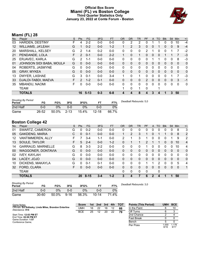### **Official Box Score Miami (FL) vs Boston College Third Quarter Statistics Only January 23, 2022 at Conte Forum - Boston**



# **Miami (FL) 28**

| No.               | Plaver                   | S | <b>Pts</b>     | <b>FG</b> | 3FG     | <b>FT</b> | <b>OR</b> | <b>DR</b>    | TR       | PF            | A            | TO | <b>Blk</b> | <b>Stl</b>   | Min            | $+/-$        |
|-------------------|--------------------------|---|----------------|-----------|---------|-----------|-----------|--------------|----------|---------------|--------------|----|------------|--------------|----------------|--------------|
| 03                | <b>HARDEN, DESTINY</b>   | F | 4              | $2 - 2$   | $0 - 0$ | $0 - 0$   | 0         | 2            | 2        | 0             |              |    | 0          | 0            | 10             | $-4$         |
| $12 \overline{ }$ | WILLIAMS, JA'LEAH        | G | 1              | $0 - 2$   | $0 - 0$ | $1 - 2$   |           | 2            | 3        | 0             | $\Omega$     |    | 0          | $\Omega$     | 9              | $-4$         |
| 20                | MARSHALL, KELSEY         | G | 2              | $1 - 4$   | $0 - 2$ | $0 - 0$   | 0         | $\mathbf{0}$ | 0        | 2             |              | 0  | 0          |              | 7              | $-2$         |
| 21                | PENDANDE, LOLA           | F | $\overline{2}$ | $0 - 1$   | $0 - 0$ | $2 - 2$   | 1         | $\Omega$     | 1        | $\Omega$      | $\mathbf{0}$ | 0  |            |              | 7              | $-3$         |
| 25                | <b>ERJAVEC, KARLA</b>    | G | 2              | $1 - 1$   | $0 - 0$ | $0 - 0$   | 0         | $\Omega$     | 0        | 0             |              |    | 0          | $\Omega$     | 8              | $-3$         |
| 01                | JOHNSON SIDI BABA, MOULA | G | 0              | $0 - 0$   | $0 - 0$ | $0 - 0$   | 0         | $\mathbf{0}$ | 0        | 0             | 0            | 0  | 0          | $\mathbf{0}$ | $\mathbf{0}$   | $\mathbf{0}$ |
| 04                | ROBERTS, JASMYNE         | G | 0              | $0 - 0$   | $0 - 0$ | $0 - 0$   | 0         | $\Omega$     | 0        | 0             | $\Omega$     | 0  | 0          | $\Omega$     | 0              | 0            |
| 05                | <b>GRAY, MYKEA</b>       | G | $\Omega$       | $0 - 0$   | $0 - 0$ | $0 - 0$   | $\Omega$  | $\Omega$     | $\Omega$ | $\Omega$      | $\Omega$     | 0  | 0          | $\Omega$     | $\mathbf{0}$   | $\Omega$     |
| 13                | DWYER, LASHAE            | G | 3              | $0 - 1$   | $0 - 0$ | $3 - 4$   | 1         | $\Omega$     | 1        | 0             | $\Omega$     | 0  | 0          |              | $\overline{7}$ | -3           |
| 33                | DJALDI-TABDI, MAEVA      | F | $\overline{2}$ | $1 - 2$   | $0 - 1$ | $0 - 0$   | $\Omega$  | $\Omega$     | 0        | $\mathcal{P}$ | $\Omega$     | 0  | 0          | $\Omega$     | 3              | -1           |
| 35                | <b>MBANDU, NAOMI</b>     | F | 0              | $0 - 0$   | $0 - 0$ | $0 - 0$   | 0         | $\Omega$     | 0        | 0             | $\Omega$     | 0  | 0          | 0            | 0              | 0            |
|                   | <b>TEAM</b>              |   |                |           |         |           |           | 0            | 1        | 0             |              |    |            |              |                |              |
|                   | <b>TOTALS</b>            |   | 16             | $5 - 13$  | $0 - 3$ | $6 - 8$   | 4         | 4            | 8        | 4             | 3            | 4  |            | 3            | 50             |              |

| <b>Shooting By Period</b><br>Period | FG    | FG%   | 3FG       | 3FG%  |           | FT%   | Deadball Rebounds: 5,0 |
|-------------------------------------|-------|-------|-----------|-------|-----------|-------|------------------------|
| 2nd Half                            | 0-0   | ገ%    | 0-0       | $0\%$ | 0-0       | 0%    |                        |
| Game                                | 26-52 | 50.0% | $-2 - 13$ | 15.4% | $12 - 18$ | 66.7% |                        |

# **Boston College 42**

| No. | ີ<br>Plaver              | S  | <b>Pts</b> | <b>FG</b> | 3FG     | <b>FT</b> | <b>OR</b> | <b>DR</b>      | <b>TR</b>    | <b>PF</b> | A            | TO       | <b>Blk</b> | Stl          | Min      | $+/-$          |
|-----|--------------------------|----|------------|-----------|---------|-----------|-----------|----------------|--------------|-----------|--------------|----------|------------|--------------|----------|----------------|
| 01  | SWARTZ, CAMERON          | G  | $\Omega$   | $0 - 2$   | $0 - 0$ | $0-0$     | 0         | 0              | 0            | 0         | 0            | $\Omega$ | 0          | 0            | 8        | 3              |
| 05  | <b>GAKDENG, MARIA</b>    | С  | $\Omega$   | $0 - 1$   | $0 - 0$ | $0 - 0$   |           | $\overline{2}$ | 3            |           | 0            |          |            | $\mathbf{0}$ | 8        | 2              |
| 12  | VANTIMMEREN, ALLY        | F. |            | $3 - 4$   | $1 - 1$ | $0 - 0$   | 2         |                | 3            |           | 0            | 0        | 0          |              | 9        | $\overline{2}$ |
| 13  | SOULE, TAYLOR            | F  | 5          | $2 - 4$   | $0 - 0$ | $1 - 2$   | $\Omega$  |                | $\mathbf{1}$ | 2         |              | 1        | $\Omega$   | $\Omega$     | 10       | 4              |
| 14  | <b>GARRAUD, MARNELLE</b> | G  | 8          | $3 - 3$   | $2 - 2$ | $0-0$     | 0         | 0              | 0            |           | 0            | $\Omega$ | 0          | 0            | 10       | 4              |
| 00  | WAGGONER, DONTAVIA       | G  | $\Omega$   | $0 - 0$   | $0 - 0$ | $0 - 0$   | $\Omega$  | 0              | $\mathbf{0}$ | 0         | $\mathbf{0}$ | $\Omega$ | $\Omega$   | $\Omega$     | $\Omega$ | $\mathbf{0}$   |
| 02  | <b>IVEY, KAYLAH</b>      | G  | $\Omega$   | $0 - 0$   | $0 - 0$ | $0 - 0$   | 0         | 0              | $\mathbf{0}$ | 0         | 0            | $\Omega$ | 0          | 0            | 0        | $\mathbf{0}$   |
| 04  | LACEY, JOJO              | G  | $\Omega$   | $0 - 0$   | $0 - 0$ | $0 - 0$   | 0         | 0              | 0            | 0         | $\mathbf{0}$ | 0        | 0          | $\mathbf{0}$ | 0        | $\mathbf 0$    |
| 10  | DICKENS, MAKAYLA         | G  | $\Omega$   | $0 - 1$   | $0 - 1$ | $0-0$     | 0         | 0              | 0            |           |              | 2        | 0          | 0            | 5        | 4              |
| 32  | FORD, CLARA              | F  | 0          | $0 - 0$   | $0 - 0$ | $0 - 0$   | 0         | 0              | $\Omega$     | 0         | $\mathbf{0}$ | $\Omega$ | $\Omega$   | $\mathbf{0}$ | $\Omega$ | 1              |
|     | <b>TEAM</b>              |    |            |           |         |           | 0         | 0              | $\mathbf{0}$ | 0         |              | 0        |            |              |          |                |
|     | <b>TOTALS</b>            |    | 20         | $8 - 15$  | $3 - 4$ | $1 - 2$   | 3         | 4              | 7            | 6         | $\mathbf{2}$ | 4        | 1          | 1            | 50       |                |
|     |                          |    |            |           |         |           |           |                |              |           |              |          |            |              |          |                |

| <b>Shooting By Period</b><br>Period | FG        | FG%   | 3FG      | 3FG%  |           | FT%         | Deadball Rebounds: 3,0 |
|-------------------------------------|-----------|-------|----------|-------|-----------|-------------|------------------------|
| 2nd Half                            | 0-0       | 0%    | 0-0      | $0\%$ | 0-0       | 0%          |                        |
| Game                                | $30 - 60$ | 50.0% | $9 - 16$ | 56.3% | $10 - 14$ | $4\%$<br>71 |                        |

| Game Notes:                                                               | <b>Score</b> |    | 1st 2nd | 3rd 4th |    | – тот | <b>Points (This Period)</b> | <b>UMH</b>    | <b>BCE</b>    |
|---------------------------------------------------------------------------|--------------|----|---------|---------|----|-------|-----------------------------|---------------|---------------|
| Officials: Ed Sidlasky, Linda Miles, Brandon Enterline<br>Attendance: 914 | UMH          | 16 | 22      | 16      | 12 | 66    | In the Paint                |               | 10            |
|                                                                           | <b>BCE</b>   | 25 | 12      | 20      | 22 | 79    | Off Turns                   |               |               |
| Start Time: 12:03 PM ET                                                   |              |    |         |         |    |       | 2nd Chance                  |               |               |
| End Time: 02:00 PM ET<br>Game Duration: 1:57                              |              |    |         |         |    |       | <b>Fast Break</b>           |               |               |
| Conference Game:                                                          |              |    |         |         |    |       | Bench                       |               |               |
|                                                                           |              |    |         |         |    |       | Per Poss                    | 1.000<br>8/16 | 1.176<br>9/17 |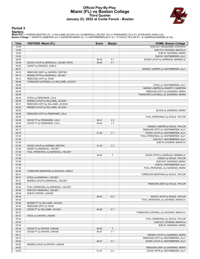### **Official Play-By-Play Miami (FL) vs Boston College Third Quarter January 23, 2022 at Conte Forum - Boston**



#### **Period 3**

<mark>Startersː</mark><br>Miami (FL): 3 HARDEN,DESTINY (F); 12 WILLIAMS,JA'LEAH (G); 20 MARSHALL,KELSEY (G); 21 PENDANDE,LOLA (F); 25 ERJAVEC,KARLA (G);<br>**Boston College**: 1 SWARTZ,CAMERON (G); 5 GAKDENG,MARIA (C); 12 VANTIMMEREN,ALLY (F

| <b>Time</b> | <b>VISITORS: Miami (FL)</b>              | <b>Score</b> | <b>Margin</b>  | <b>HOME: Boston College</b>             |
|-------------|------------------------------------------|--------------|----------------|-----------------------------------------|
| 10:00       |                                          |              |                | SUB OUT: WAGGONER, DONTAVIA             |
| 10:00       |                                          |              |                | SUB OUT: DICKENS, MAKAYLA               |
| 10:00       |                                          |              |                | SUB IN: GAKDENG, MARIA                  |
| 10:00       |                                          |              |                | SUB IN: VANTIMMEREN, ALLY               |
| 09:50       |                                          | 39-38        | H <sub>1</sub> | GOOD! LAYUP by GARRAUD, MARNELLE        |
| 09:39       | GOOD! LAYUP by MARSHALL, KELSEY [PNT]    | 39-40        | V <sub>1</sub> |                                         |
| 09:39       | ASSIST by ERJAVEC, KARLA                 |              |                |                                         |
| 09:27       |                                          |              |                | MISSED JUMPER by VANTIMMEREN, ALLY      |
| 09:23       | REBOUND (DEF) by HARDEN, DESTINY         |              |                |                                         |
| 09:14       | MISSED 3PTR by MARSHALL, KELSEY          |              |                |                                         |
| 09:10       | REBOUND (OFF) by TEAM                    |              |                |                                         |
| 08:58       | TURNOVER (LOSTBALL) by WILLIAMS, JA'LEAH |              |                |                                         |
| 08:58       |                                          |              |                | STEAL by VANTIMMEREN, ALLY              |
| 08:42       |                                          |              |                | MISSED JUMPER by SWARTZ, CAMERON        |
| 08:39       |                                          |              |                | REBOUND (OFF) by GAKDENG, MARIA         |
| 08:39       |                                          |              |                | TURNOVER (LOSTBALL) by GAKDENG, MARIA   |
| 08:39       | STEAL by PENDANDE, LOLA                  |              |                |                                         |
| 08:35       | MISSED LAYUP by WILLIAMS, JA'LEAH        |              |                |                                         |
| 08:31       | REBOUND (OFF) by WILLIAMS, JA'LEAH       |              |                |                                         |
| 08:30       | MISSED LAYUP by WILLIAMS, JA'LEAH        |              |                |                                         |
| 08:30       |                                          |              |                | BLOCK by GAKDENG, MARIA                 |
| 08:29       | REBOUND (OFF) by PENDANDE, LOLA          |              |                |                                         |
| 08:29       |                                          |              |                | FOUL (PERSONAL) by SOULE, TAYLOR        |
| 08:29       | GOOD! FT by PENDANDE, LOLA               | 39-41        | V <sub>2</sub> |                                         |
| 08:29       | GOOD! FT by PENDANDE, LOLA               | 39-42        | $V_3$          |                                         |
| 08:19       |                                          |              |                | MISSED JUMPER by SOULE, TAYLOR          |
| 08:17       |                                          |              |                | REBOUND (OFF) by VANTIMMEREN, ALLY      |
| 08:16       |                                          | 41-42        | V <sub>1</sub> | GOOD! LAYUP by VANTIMMEREN, ALLY        |
| 07:45       |                                          |              |                | FOUL (PERSONAL) by VANTIMMEREN, ALLY    |
| 07:45       |                                          |              |                | SUB OUT: VANTIMMEREN, ALLY              |
| 07:45       |                                          |              |                | SUB IN: DICKENS, MAKAYLA                |
| 07:45       | GOOD! LAYUP by HARDEN, DESTINY           | $41 - 44$    | $V_3$          |                                         |
| 07:45       | ASSIST by MARSHALL, KELSEY               |              |                |                                         |
| 07:29       | FOUL (PERSONAL) by MARSHALL, KELSEY      |              |                |                                         |
| 07:28       |                                          | 44-44        | $\mathsf{T}$   | GOOD! 3PTR by GARRAUD, MARNELLE         |
| 07:28       |                                          |              |                | ASSIST by SOULE, TAYLOR                 |
| 07:06       |                                          |              |                | SUB OUT: GAKDENG, MARIA                 |
| 07:06       |                                          |              |                | SUB IN: VANTIMMEREN, ALLY               |
| 07:04       |                                          |              |                | FOUL (PERSONAL) by GAKDENG, MARIA       |
| 06:59       | TURNOVER (BADPASS) by ERJAVEC, KARLA     |              |                |                                         |
| 06:41       |                                          |              |                | TURNOVER (BADPASS) by SOULE, TAYLOR     |
| 06:41       | STEAL by MARSHALL, KELSEY                |              |                |                                         |
| 06:37       | MISSED LAYUP by MARSHALL, KELSEY         |              |                |                                         |
| 06:36       |                                          |              |                | REBOUND (DEF) by SOULE, TAYLOR          |
| 06:36       | FOUL (PERSONAL) by MARSHALL, KELSEY      |              |                |                                         |
| 06:36       | SUB OUT: MARSHALL, KELSEY                |              |                |                                         |
| 06:36       | SUB IN: DWYER, LASHAE                    |              |                |                                         |
| 06:16       |                                          | 46-44        | H <sub>2</sub> | GOOD! LAYUP by SOULE, TAYLOR            |
| 05:45       |                                          |              |                | FOUL (PERSONAL) by DICKENS, MAKAYLA     |
| 05:45       | MISSED FT by WILLIAMS, JA'LEAH           |              |                |                                         |
| 05:45       | REBOUND (OFF) by TEAM                    |              |                |                                         |
| 05:45       | GOOD! FT by WILLIAMS, JA'LEAH            | 46-45        | H <sub>1</sub> |                                         |
| 05:37       |                                          |              |                | TURNOVER (LOSTBALL) by DICKENS, MAKAYLA |
| 05:37       | STEAL by DWYER, LASHAE                   |              |                |                                         |
| 05:34       |                                          |              |                | FOUL (PERSONAL) by SOULE, TAYLOR        |
| 05:34       |                                          |              |                | SUB OUT: DICKENS, MAKAYLA               |
| 05:34       |                                          |              |                | SUB IN: GAKDENG, MARIA                  |
| 05:34       | GOOD! FT by DWYER, LASHAE                | 46-46        | $\mathsf T$    |                                         |
| 05:34       | GOOD! FT by DWYER, LASHAE                | 46-47        | V <sub>1</sub> |                                         |
| 05:17       |                                          |              |                | MISSED LAYUP by GAKDENG, MARIA          |
| 05:10       |                                          |              |                | REBOUND (OFF) by VANTIMMEREN, ALLY      |
| 05:00       |                                          | 48-47        | H 1            | GOOD! LAYUP by VANTIMMEREN, ALLY        |
| 04:54       | MISSED LAYUP by DWYER, LASHAE            |              |                |                                         |
| 04:52       |                                          |              |                | REBOUND (DEF) by GAKDENG, MARIA         |
| 04:42       |                                          | 51-47        | H4             | GOOD! 3PTR by VANTIMMEREN, ALLY         |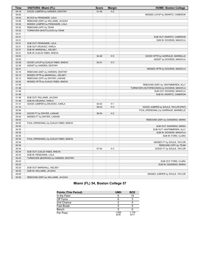| <b>Time</b> | <b>VISITORS: Miami (FL)</b>            | <b>Score</b> | <b>Margin</b>  | <b>HOME: Boston College</b>                |
|-------------|----------------------------------------|--------------|----------------|--------------------------------------------|
| 04:18       | GOOD! JUMPER by HARDEN, DESTINY        | 51-49        | H <sub>2</sub> |                                            |
| 04:02       |                                        |              |                | MISSED LAYUP by SWARTZ, CAMERON            |
| 04:02       | BLOCK by PENDANDE, LOLA                |              |                |                                            |
| 03:58       | REBOUND (DEF) by WILLIAMS, JA'LEAH     |              |                |                                            |
| 03:34       | MISSED JUMPER by PENDANDE, LOLA        |              |                |                                            |
| 03:32       | REBOUND (OFF) by TEAM                  |              |                |                                            |
| 03:32       | TURNOVER (SHOTCLOCK) by TEAM           |              |                |                                            |
| 03:31       |                                        |              |                |                                            |
| 03:31       |                                        |              |                | SUB OUT: SWARTZ, CAMERON                   |
| 03:31       |                                        |              |                | SUB IN: DICKENS, MAKAYLA                   |
| 03:31       | SUB OUT: PENDANDE, LOLA                |              |                |                                            |
| 03:31       | SUB OUT: ERJAVEC, KARLA                |              |                |                                            |
| 03:31       | SUB IN: MARSHALL, KELSEY               |              |                |                                            |
| 03:31       | SUB IN: DJALDI-TABDI, MAEVA            |              |                |                                            |
| 03:03       |                                        | 54-49        | H <sub>5</sub> | GOOD! 3PTR by GARRAUD, MARNELLE            |
| 03:03       |                                        |              |                | ASSIST by DICKENS, MAKAYLA                 |
| 02:38       | GOOD! LAYUP by DJALDI-TABDI, MAEVA     | 54-51        | $H_3$          |                                            |
| 02:38       | ASSIST by HARDEN, DESTINY              |              |                |                                            |
| 02:21       |                                        |              |                | MISSED 3PTR by DICKENS, MAKAYLA            |
| 02:18       | REBOUND (DEF) by HARDEN, DESTINY       |              |                |                                            |
| 02:15       | MISSED 3PTR by MARSHALL, KELSEY        |              |                |                                            |
| 02:12       | REBOUND (OFF) by DWYER, LASHAE         |              |                |                                            |
| 02:02       | MISSED 3PTR by DJALDI-TABDI, MAEVA     |              |                |                                            |
| 01:59       |                                        |              |                | REBOUND (DEF) by VANTIMMEREN, ALLY         |
| 01:48       |                                        |              |                | TURNOVER (OUTOFBOUNDS) by DICKENS, MAKAYLA |
| 01:48       |                                        |              |                | SUB OUT: DICKENS, MAKAYLA                  |
| 01:48       |                                        |              |                | SUB IN: SWARTZ, CAMERON                    |
| 01:48       | SUB OUT: WILLIAMS, JA'LEAH             |              |                |                                            |
| 01:48       | SUB IN: ERJAVEC, KARLA                 |              |                |                                            |
| 01:31       | GOOD! JUMPER by ERJAVEC, KARLA         | 54-53        | H <sub>1</sub> |                                            |
| 01:10       |                                        | 56-53        | H <sub>3</sub> | GOOD! JUMPER by SOULE, TAYLOR [PNT]        |
| 00:54       |                                        |              |                | FOUL (PERSONAL) by GARRAUD, MARNELLE       |
| 00:54       | GOOD! FT by DWYER, LASHAE              | 56-54        | H <sub>2</sub> |                                            |
| 00:54       | MISSED FT by DWYER, LASHAE             |              |                |                                            |
| 00:53       |                                        |              |                | REBOUND (DEF) by GAKDENG, MARIA            |
| 00:35       | FOUL (PERSONAL) by DJALDI-TABDI, MAEVA |              |                |                                            |
| 00:35       |                                        |              |                | SUB OUT: GAKDENG, MARIA                    |
| 00:35       |                                        |              |                | SUB OUT: VANTIMMEREN, ALLY                 |
| 00:35       |                                        |              |                | SUB IN: DICKENS, MAKAYLA                   |
| 00:35       |                                        |              |                | SUB IN: FORD, CLARA                        |
| 00:34       | FOUL (PERSONAL) by DJALDI-TABDI, MAEVA |              |                |                                            |
| 00:34       |                                        |              |                | MISSED FT by SOULE, TAYLOR                 |
| 00:34       |                                        |              |                | REBOUND (OFF) by TEAM                      |
| 00:34       |                                        | 57-54        | $H_3$          | GOOD! FT by SOULE, TAYLOR                  |
| 00:34       | SUB OUT: DJALDI-TABDI, MAEVA           |              |                |                                            |
| 00:34       | SUB IN: PENDANDE, LOLA                 |              |                |                                            |
| 00:23       | TURNOVER (BADPASS) by HARDEN, DESTINY  |              |                |                                            |
| 00:23       |                                        |              |                | SUB OUT: FORD, CLARA                       |
| 00:23       |                                        |              |                | SUB IN: GAKDENG, MARIA                     |
| 00:23       | SUB OUT: MARSHALL, KELSEY              |              |                |                                            |
| 00:23       | SUB IN: WILLIAMS, JA'LEAH              |              |                |                                            |
| 00:00       |                                        |              |                | MISSED JUMPER by SOULE, TAYLOR             |
| 00:00       | REBOUND (DEF) by WILLIAMS, JA'LEAH     |              |                |                                            |
|             |                                        |              |                |                                            |

| Miami (FL) 54, Boston College 57 |  |  |  |
|----------------------------------|--|--|--|
|                                  |  |  |  |

| <b>Points (This Period)</b> | <b>UMH</b>    | <b>BCE</b>    |
|-----------------------------|---------------|---------------|
| In the Paint                |               | 10            |
| Off Turns                   |               |               |
| 2nd Chance                  |               |               |
| <b>Fast Break</b>           |               |               |
| Bench                       | 5             |               |
| Per Poss                    | 1.000<br>8/16 | 1.176<br>9/17 |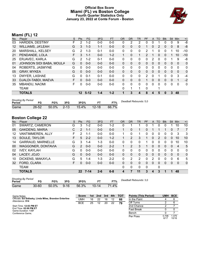### **Official Box Score Miami (FL) vs Boston College Fourth Quarter Statistics Only January 23, 2022 at Conte Forum - Boston**



# **Miami (FL) 12**

| Plaver                   | S | <b>Pts</b>      | <b>FG</b> | 3FG     | <b>FT</b> | 0R       | <b>DR</b>    | TR          | PF            |          | TO       | <b>BIK</b> | Stl          | Min         | $+/-$        |
|--------------------------|---|-----------------|-----------|---------|-----------|----------|--------------|-------------|---------------|----------|----------|------------|--------------|-------------|--------------|
| <b>HARDEN, DESTINY</b>   | F | 2               | $1 - 2$   | $0 - 0$ | $0 - 0$   | 0        | 2            | 2           | 0             | 0        |          | 0          | 0            | 9           | -8           |
| <b>WILLIAMS, JA'LEAH</b> | G | 3               | $1 - 3$   | $1 - 1$ | $0 - 0$   | 0        | $\Omega$     | 0           | 1             | $\Omega$ | 2        | 0          | $\mathbf{0}$ | 8           | -8           |
| MARSHALL, KELSEY         | G | $\overline{2}$  | $1 - 3$   | $0 - 1$ | $0-0$     | 0        | 0            | 0           | 2             |          | 0        | 0          |              | 10          | $-10$        |
| PENDANDE, LOLA           | F | 3               | $1 - 1$   | $0 - 0$ | $1 - 2$   | 1        | $\mathbf{0}$ | $\mathbf 1$ | $\mathcal{P}$ |          | $\Omega$ | 0          |              | 10          | $-10$        |
| ERJAVEC, KARLA           | G | 2               | $1 - 2$   | $0 - 1$ | $0 - 0$   | 0        | $\mathbf{0}$ | 0           | 0             | 2        | 0        | 0          |              | 9           | -8           |
| JOHNSON SIDI BABA, MOULA | G | 0               | $0 - 0$   | $0 - 0$ | $0 - 0$   | $\Omega$ | $\Omega$     | 0           | 0             | $\Omega$ | 0        | 0          | $\Omega$     | $\Omega$    | 0            |
| ROBERTS, JASMYNE         | G | $\Omega$        | $0 - 0$   | $0 - 0$ | $0 - 0$   | $\Omega$ | $\Omega$     | 0           | 0             | $\Omega$ | 0        | 0          | $\Omega$     | $\Omega$    | 0            |
| <b>GRAY, MYKEA</b>       | G | $\mathbf{0}$    | $0 - 0$   | $0 - 0$ | $0 - 0$   | 0        | $\mathbf{0}$ | 0           | 0             | $\Omega$ | 0        | 0          | $\Omega$     | $\Omega$    | $\mathbf{0}$ |
| DWYER, LASHAE            | G | 0               | $0 - 1$   | $0 - 1$ | $0 - 0$   | 0        | 0            | 0           | 2             | $\Omega$ |          | 0          | $\Omega$     | 3           | $-4$         |
| DJALDI-TABDI, MAEVA      | F | 0               | $0 - 0$   | $0 - 0$ | $0 - 0$   | $\Omega$ | $\Omega$     | $\Omega$    | 1             | $\Omega$ | 0        | 0          | $\Omega$     | 1           | $-2$         |
| MBANDU, NAOMI            | F | 0               | $0 - 0$   | $0-0$   | $0 - 0$   | 0        | $\Omega$     | 0           | $\Omega$      | $\Omega$ | 0        | 0          | $\mathbf 0$  | $\mathbf 0$ | 0            |
| TEAM                     |   |                 |           |         |           | $\Omega$ | 1            |             | 0             |          |          |            |              |             |              |
| <b>TOTALS</b>            |   | 12 <sup>°</sup> | $5 - 12$  | 1-4     | $1 - 2$   |          | 3            | 4           | 8             | 4        | 5        | 0          | 3            | 48          |              |
|                          |   |                 |           |         |           |          |              |             |               |          |          | A          |              |             |              |

| <b>Shooting By Period</b><br>Period | FG.       | FG%      | 3FG      | 3FG%     | ET        | FT%   | Deadball Rebounds: 5,0 |
|-------------------------------------|-----------|----------|----------|----------|-----------|-------|------------------------|
| Game                                | $26 - 52$ | $50.0\%$ | $2 - 13$ | $15.4\%$ | $12 - 18$ | 66.7% |                        |

# **Boston College 22**

| No. | Plaver                   | S  | Pts             | FG.      | 3FG     | <b>FT</b> | <b>OR</b>    | <b>DR</b>     | <b>TR</b> | PF | A            | TO       | <b>BIK</b> | Stl      | Min      | $+/-$        |
|-----|--------------------------|----|-----------------|----------|---------|-----------|--------------|---------------|-----------|----|--------------|----------|------------|----------|----------|--------------|
| 01  | SWARTZ, CAMERON          | G  | 3               | $1 - 2$  | $0 - 0$ | 1-2       | 0            |               |           | 0  |              | 0        | 0          |          | 10       | 10           |
| 05  | <b>GAKDENG, MARIA</b>    | С  | 2               | 1-1      | $0 - 0$ | $0 - 0$   |              | 0             | 1         | 0  |              |          |            | 0        |          | 7            |
| 12  | VANTIMMEREN, ALLY        | F  | 2               | 1-1      | $0-0$   | $0 - 0$   | 1            | 0             | 1.        | 0  | 0            | 0        | 0          | 0        | 3        | 3            |
| 13  | SOULE, TAYLOR            | F  | 5               | $2 - 2$  | $0 - 0$ | $1 - 2$   | $\mathbf{1}$ | 2             | 3         |    | 0            | 2        | $\Omega$   | 0        | 10       | 10           |
| 14  | <b>GARRAUD, MARNELLE</b> | G  | 3               | 1-4      | $1 - 3$ | $0 - 0$   | $\Omega$     | $\Omega$      | 0         | 1  | 0            | $\Omega$ | 0          | 0        | 10       | 10           |
| 00  | WAGGONER, DONTAVIA       | G  | $\mathcal{P}$   | $0 - 0$  | $0 - 0$ | $2 - 2$   |              | $\mathcal{P}$ | 3         | 1  | $\Omega$     | $\Omega$ | $\Omega$   | $\Omega$ | 4        | 5            |
| 02  | <b>IVEY, KAYLAH</b>      | G  | 0               | $0 - 0$  | $0 - 0$ | $0 - 0$   | 0            | 0             | 0         | 0  | 0            | $\Omega$ | 0          | 0        | 0        | $\mathbf{0}$ |
| 04  | LACEY, JOJO              | G  | $\Omega$        | $0 - 0$  | $0 - 0$ | $0 - 0$   | $\Omega$     | 0             | 0         | 0  | $\mathbf{0}$ | $\Omega$ | 0          | $\Omega$ | $\Omega$ | $\mathbf{0}$ |
| 10  | DICKENS, MAKAYLA         | G  | 5.              | $1 - 4$  | $1 - 3$ | $2 - 2$   | 0            | 2             | 2         | 0  | 2            | 0        | 0          | 0        | 6        | 5            |
| 32  | FORD, CLARA              | F. | 0               | $0 - 0$  | $0-0$   | $0-0$     | $\Omega$     | 0             | 0         | 0  | $\Omega$     | 0        | 0          | 0        | 0        | $\mathbf 0$  |
|     | TEAM                     |    |                 |          |         |           | $\Omega$     | $\mathbf{0}$  | 0         | 0  |              | 0        |            |          |          |              |
|     | <b>TOTALS</b>            |    | 22 <sub>2</sub> | $7 - 14$ | $2 - 6$ | $6 - 8$   | 4            | 7             | 11        | 3  | 4            | 3        | 1          |          | 48       |              |

| <b>Shooting By Period</b><br>Period | FG        | FG%      | 3FG      | 3FG%  |           | FT%         | Deadball Rebounds: 3,0 |
|-------------------------------------|-----------|----------|----------|-------|-----------|-------------|------------------------|
| Game                                | $30 - 60$ | $50.0\%$ | $9 - 16$ | 56.3% | $10 - 14$ | $4\%$<br>71 |                        |

| Game Notes:                                                               | <b>Score</b> |    | 1st 2nd | 3rd | 4th | тот | <b>Points (This Period)</b> | UMH           | <b>BCE</b>     |
|---------------------------------------------------------------------------|--------------|----|---------|-----|-----|-----|-----------------------------|---------------|----------------|
| Officials: Ed Sidlasky, Linda Miles, Brandon Enterline<br>Attendance: 914 | UMH          | 16 | 22      | 16  |     | 66  | In the Paint                |               |                |
|                                                                           | <b>BCE</b>   | 25 | 12      | 20  | 22  | 79  | Off Turns                   |               |                |
| Start Time: 12:03 PM ET                                                   |              |    |         |     |     |     | 2nd Chance                  |               |                |
| End Time: 02:00 PM ET<br>Game Duration: 1:57                              |              |    |         |     |     |     | <b>Fast Break</b>           |               |                |
| Conference Game:                                                          |              |    |         |     |     |     | Bench                       |               |                |
|                                                                           |              |    |         |     |     |     | Per Poss                    | 0.706<br>6/17 | 1.375<br>10/16 |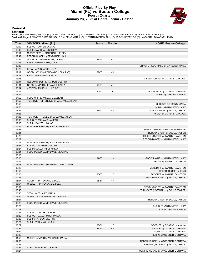### **Official Play-By-Play Miami (FL) vs Boston College Fourth Quarter January 23, 2022 at Conte Forum - Boston**



#### **Period 4**

<mark>Startersː</mark><br>Miami (FL): 3 HARDEN,DESTINY (F); 12 WILLIAMS,JA'LEAH (G); 20 MARSHALL,KELSEY (G); 21 PENDANDE,LOLA (F); 25 ERJAVEC,KARLA (G);<br>**Boston College**: 1 SWARTZ,CAMERON (G); 5 GAKDENG,MARIA (C); 12 VANTIMMEREN,ALLY (F

| Time           | VISITORS: Miami (FL)                      | <b>Score</b> | <b>Margin</b>  | <b>HOME: Boston College</b>                                 |
|----------------|-------------------------------------------|--------------|----------------|-------------------------------------------------------------|
| 10:00          | SUB OUT: DWYER, LASHAE                    |              |                |                                                             |
| 10:00          | SUB IN: MARSHALL, KELSEY                  |              |                |                                                             |
| 09:51          | MISSED 3PTR by MARSHALL, KELSEY           |              |                |                                                             |
| 09:47          | REBOUND (OFF) by PENDANDE, LOLA           |              |                |                                                             |
| 09:46          | GOOD! LAYUP by HARDEN, DESTINY            | 57-56        | H <sub>1</sub> |                                                             |
| 09:46          | ASSIST by PENDANDE, LOLA                  |              |                |                                                             |
| 09:23          |                                           |              |                | TURNOVER (LOSTBALL) by GAKDENG, MARIA                       |
| 09:23          | STEAL by PENDANDE, LOLA                   |              |                |                                                             |
| 09:12          | GOOD! LAYUP by PENDANDE, LOLA [PNT]       | 57-58        | V <sub>1</sub> |                                                             |
| 09:12          | ASSIST by ERJAVEC, KARLA                  |              |                |                                                             |
| 08:46          |                                           |              |                | MISSED JUMPER by DICKENS, MAKAYLA                           |
| 08:44          | REBOUND (DEF) by HARDEN, DESTINY          |              |                |                                                             |
| 08:34          | GOOD! JUMPER by ERJAVEC, KARLA            | 57-60        | $V_3$          |                                                             |
| 08:34          | ASSIST by MARSHALL, KELSEY                |              |                |                                                             |
| 08:14          |                                           | 60-60        | T              | GOOD! 3PTR by DICKENS, MAKAYLA                              |
| 08:14          |                                           |              |                | ASSIST by GAKDENG, MARIA                                    |
| 07:50          | FOUL (OFF) by WILLIAMS, JA'LEAH           |              |                |                                                             |
| 07:50          | TURNOVER (OFFENSIVE) by WILLIAMS, JA'LEAH |              |                |                                                             |
| 07:50          |                                           |              |                | SUB OUT: GAKDENG, MARIA<br>SUB IN: VANTIMMEREN, ALLY        |
| 07:50<br>07:28 |                                           | 62-60        | H <sub>2</sub> |                                                             |
| 07:28          |                                           |              |                | GOOD! JUMPER by SOULE, TAYLOR<br>ASSIST by DICKENS, MAKAYLA |
| 07:06          | TURNOVER (TRAVEL) by WILLIAMS, JA'LEAH    |              |                |                                                             |
| 07:06          | SUB OUT: WILLIAMS, JA'LEAH                |              |                |                                                             |
| 07:06          | SUB IN: DWYER, LASHAE                     |              |                |                                                             |
| 06:49          | FOUL (PERSONAL) by PENDANDE, LOLA         |              |                |                                                             |
| 06:33          |                                           |              |                | MISSED 3PTR by GARRAUD, MARNELLE                            |
| 06:31          |                                           |              |                | REBOUND (OFF) by SOULE, TAYLOR                              |
| 06:28          |                                           |              |                | MISSED JUMPER by SWARTZ, CAMERON                            |
| 06:27          |                                           |              |                | REBOUND (OFF) by VANTIMMEREN, ALLY                          |
| 06:27          | FOUL (PERSONAL) by PENDANDE, LOLA         |              |                |                                                             |
| 06:27          | SUB OUT: HARDEN, DESTINY                  |              |                |                                                             |
| 06:27          | SUB IN: DJALDI-TABDI, MAEVA               |              |                |                                                             |
| 06:24          | FOUL (PERSONAL) by DWYER, LASHAE          |              |                |                                                             |
| 06:15          |                                           |              |                |                                                             |
| 06:15          |                                           | 64-60        | H4             | GOOD! LAYUP by VANTIMMEREN, ALLY                            |
| 06:15          |                                           |              |                | ASSIST by SWARTZ, CAMERON                                   |
| 06:15          | FOUL (PERSONAL) by DJALDI-TABDI, MAEVA    |              |                |                                                             |
| 06:15          |                                           |              |                | MISSED FT by SWARTZ, CAMERON                                |
| 06:15          |                                           |              |                | REBOUND (OFF) by TEAM                                       |
| 06:15          |                                           | 65-60        | H <sub>5</sub> | GOOD! FT by SWARTZ, CAMERON                                 |
| 05:57          |                                           |              |                | FOUL (PERSONAL) by SOULE, TAYLOR                            |
| 05:57          | GOOD! FT by PENDANDE, LOLA                | 65-61        | H4             |                                                             |
| 05:57          | MISSED FT by PENDANDE, LOLA               |              |                |                                                             |
| 05:57          |                                           |              |                | REBOUND (DEF) by SWARTZ, CAMERON                            |
| 05:40<br>05:40 | STEAL by ERJAVEC, KARLA                   |              |                | TURNOVER (LOSTBALL) by SOULE, TAYLOR                        |
| 05:29          | MISSED LAYUP by HARDEN, DESTINY           |              |                |                                                             |
| 05:24          |                                           |              |                | REBOUND (DEF) by SOULE, TAYLOR                              |
| 05:22          | FOUL (PERSONAL) by DWYER, LASHAE          |              |                |                                                             |
| 05:22          |                                           |              |                | SUB OUT: VANTIMMEREN, ALLY                                  |
| 05:22          |                                           |              |                | SUB IN: GAKDENG, MARIA                                      |
| 05:22          | SUB OUT: DWYER, LASHAE                    |              |                |                                                             |
| 05:22          | SUB OUT: DJALDI-TABDI, MAEVA              |              |                |                                                             |
| 05:22          | SUB IN: HARDEN, DESTINY                   |              |                |                                                             |
| 05:22          | SUB IN: WILLIAMS, JA'LEAH                 |              |                |                                                             |
| 05:22          |                                           | 66-61        | H 5            | GOOD! FT by DICKENS, MAKAYLA                                |
| 05:22          |                                           | 67-61        | H <sub>6</sub> | GOOD! FT by DICKENS, MAKAYLA                                |
| 05:22          |                                           |              |                | SUB OUT: DICKENS, MAKAYLA                                   |
| 05:22          |                                           |              |                | SUB IN: WAGGONER, DONTAVIA                                  |
| 04:53          | MISSED JUMPER by WILLIAMS, JA'LEAH        |              |                |                                                             |
| 04:50          |                                           |              |                | REBOUND (DEF) by WAGGONER, DONTAVIA                         |
| 04:32          |                                           |              |                | TURNOVER (BADPASS) by SOULE, TAYLOR                         |
| 04:32          | STEAL by MARSHALL, KELSEY                 |              |                |                                                             |
| 04:27          |                                           |              |                | FOUL (PERSONAL) by WAGGONER, DONTAVIA                       |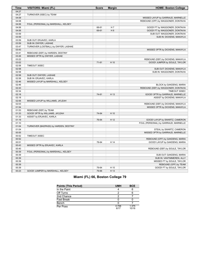| Time  | VISITORS: Miami (FL)                  | <b>Score</b> | <b>Margin</b>  | <b>HOME: Boston College</b>          |
|-------|---------------------------------------|--------------|----------------|--------------------------------------|
| 04:27 |                                       |              |                |                                      |
| 04:27 | TURNOVER (5SEC) by TEAM               |              |                |                                      |
| 04:09 |                                       |              |                | MISSED LAYUP by GARRAUD, MARNELLE    |
| 04:08 |                                       |              |                | REBOUND (OFF) by WAGGONER, DONTAVIA  |
| 04:06 | FOUL (PERSONAL) by MARSHALL, KELSEY   |              |                |                                      |
| 04:06 |                                       | 68-61        | H <sub>7</sub> | GOOD! FT by WAGGONER, DONTAVIA       |
| 04:06 |                                       | 69-61        | H <sub>8</sub> | GOOD! FT by WAGGONER, DONTAVIA       |
| 03:59 |                                       |              |                | SUB OUT: WAGGONER, DONTAVIA          |
| 03:59 |                                       |              |                | SUB IN: DICKENS, MAKAYLA             |
| 03:59 | SUB OUT: ERJAVEC, KARLA               |              |                |                                      |
| 03:59 | SUB IN: DWYER, LASHAE                 |              |                |                                      |
| 03:47 | TURNOVER (LOSTBALL) by DWYER, LASHAE  |              |                |                                      |
| 03:43 |                                       |              |                | MISSED 3PTR by DICKENS, MAKAYLA      |
| 03:41 | REBOUND (DEF) by HARDEN, DESTINY      |              |                |                                      |
| 03:26 | MISSED 3PTR by DWYER, LASHAE          |              |                |                                      |
| 03:22 |                                       |              |                | REBOUND (DEF) by DICKENS, MAKAYLA    |
| 03:02 |                                       | $71-61$      | H 10           | GOOD! JUMPER by SOULE, TAYLOR        |
| 02:58 | TIMEOUT 30SEC                         |              |                |                                      |
| 02:58 |                                       |              |                | SUB OUT: DICKENS, MAKAYLA            |
| 02:58 |                                       |              |                | SUB IN: WAGGONER, DONTAVIA           |
| 02:58 | SUB OUT: DWYER, LASHAE                |              |                |                                      |
| 02:58 | SUB IN: ERJAVEC, KARLA                |              |                |                                      |
| 02:46 | MISSED LAYUP by MARSHALL, KELSEY      |              |                |                                      |
| 02:46 |                                       |              |                | BLOCK by GAKDENG, MARIA              |
| 02:43 |                                       |              |                | REBOUND (DEF) by WAGGONER, DONTAVIA  |
| 02:34 |                                       |              |                | TIMEOUT 30SEC                        |
| 02:18 |                                       | 74-61        | H 13           | GOOD! 3PTR by GARRAUD, MARNELLE      |
| 02:18 |                                       |              |                | ASSIST by DICKENS, MAKAYLA           |
| 02:06 | MISSED LAYUP by WILLIAMS, JA'LEAH     |              |                |                                      |
| 02:03 |                                       |              |                | REBOUND (DEF) by DICKENS, MAKAYLA    |
| 01:54 |                                       |              |                | MISSED 3PTR by DICKENS, MAKAYLA      |
| 01:53 | REBOUND (DEF) by TEAM                 |              |                |                                      |
| 01:33 | GOOD! 3PTR by WILLIAMS, JA'LEAH       | 74-64        | H 10           |                                      |
| 01:33 | ASSIST by ERJAVEC, KARLA              |              |                |                                      |
| 01:19 |                                       | 76-64        | H 12           | GOOD! LAYUP by SWARTZ, CAMERON       |
| 01:10 |                                       |              |                | FOUL (PERSONAL) by GARRAUD, MARNELLE |
| 01:04 | TURNOVER (BADPASS) by HARDEN, DESTINY |              |                |                                      |
| 01:04 |                                       |              |                | STEAL by SWARTZ, CAMERON             |
| 00:55 |                                       |              |                | MISSED 3PTR by GARRAUD, MARNELLE     |
| 00:52 | TIMEOUT 30SEC                         |              |                |                                      |
| 00:52 |                                       |              |                | REBOUND (OFF) by GAKDENG, MARIA      |
| 00:51 |                                       | 78-64        | H 14           | GOOD! LAYUP by GAKDENG, MARIA        |
| 00:43 | MISSED 3PTR by ERJAVEC, KARLA         |              |                |                                      |
| 00:40 |                                       |              |                | REBOUND (DEF) by SOULE, TAYLOR       |
| 00:39 | FOUL (PERSONAL) by MARSHALL, KELSEY   |              |                |                                      |
| 00:39 |                                       |              |                | SUB OUT: GAKDENG, MARIA              |
| 00:39 |                                       |              |                | SUB IN: VANTIMMEREN, ALLY            |
| 00:39 |                                       |              |                | MISSED FT by SOULE, TAYLOR           |
| 00:39 |                                       |              |                | REBOUND (OFF) by TEAM                |
| 00:39 |                                       | 79-64        | H 15           | GOOD! FT by SOULE, TAYLOR            |
| 00:23 | GOOD! JUMPER by MARSHALL, KELSEY      | 79-66        | H 13           |                                      |
|       |                                       |              |                |                                      |

# **Miami (FL) 66, Boston College 79**

| <b>Points (This Period)</b> | <b>UMH</b>    | <b>BCE</b>     |
|-----------------------------|---------------|----------------|
| In the Paint                |               | 6              |
| Off Turns                   |               |                |
| 2nd Chance                  |               |                |
| <b>Fast Break</b>           |               |                |
| Bench                       |               |                |
| Per Poss                    | 0.706<br>6/17 | 1.375<br>10/16 |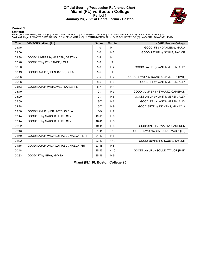### **Official Scoring/Possession Reference Chart Miami (FL) vs Boston College Period 1 January 23, 2022 at Conte Forum - Boston**



**Period 1**

<mark>Startersː</mark><br>Miami (FL): 3 HARDEN,DESTINY (F); 12 WILLIAMS,JA'LEAH (G); 20 MARSHALL,KELSEY (G); 21 PENDANDE,LOLA (F); 25 ERJAVEC,KARLA (G);<br>**Boston College**: 1 SWARTZ,CAMERON (G); 5 GAKDENG,MARIA (C); 12 VANTIMMEREN,ALLY (F

| <b>Time</b> | <b>VISITORS: Miami (FL)</b>              | <b>Score</b> | <b>Margin</b>  | <b>HOME: Boston College</b>          |
|-------------|------------------------------------------|--------------|----------------|--------------------------------------|
| 09:45       |                                          | $1 - 0$      | H <sub>1</sub> | GOOD! FT by GAKDENG, MARIA           |
| 08:56       |                                          | $3-0$        | $H_3$          | GOOD! LAYUP by SOULE, TAYLOR         |
| 08:38       | GOOD! JUMPER by HARDEN, DESTINY          | $3-2$        | H <sub>1</sub> |                                      |
| 07:28       | GOOD! FT by PENDANDE, LOLA               | $3-3$        | T              |                                      |
| 06:30       |                                          | $5-3$        | H <sub>2</sub> | GOOD! LAYUP by VANTIMMEREN, ALLY     |
| 06:19       | GOOD! LAYUP by PENDANDE, LOLA            | $5-5$        | $\mathsf{T}$   |                                      |
| 06:06       |                                          | $7 - 5$      | H <sub>2</sub> | GOOD! LAYUP by SWARTZ, CAMERON [PNT] |
| 06:06       |                                          | $8 - 5$      | $H_3$          | GOOD! FT by VANTIMMEREN, ALLY        |
| 05:53       | GOOD! LAYUP by ERJAVEC, KARLA [PNT]      | $8 - 7$      | H <sub>1</sub> |                                      |
| 05:40       |                                          | $10 - 7$     | $H_3$          | GOOD! JUMPER by SWARTZ, CAMERON      |
| 05:09       |                                          | $12 - 7$     | H <sub>5</sub> | GOOD! LAYUP by VANTIMMEREN, ALLY     |
| 05:09       |                                          | $13 - 7$     | H <sub>6</sub> | GOOD! FT by VANTIMMEREN, ALLY        |
| 04:28       |                                          | $16 - 7$     | H <sub>9</sub> | GOOD! 3PTR by DICKENS, MAKAYLA       |
| 03:30       | GOOD! LAYUP by ERJAVEC, KARLA            | 16-9         | H <sub>7</sub> |                                      |
| 02:44       | GOOD! FT by MARSHALL, KELSEY             | $16 - 10$    | H <sub>6</sub> |                                      |
| 02:44       | GOOD! FT by MARSHALL, KELSEY             | $16 - 11$    | H <sub>5</sub> |                                      |
| 02:32       |                                          | 19-11        | H 8            | GOOD! 3PTR by SWARTZ, CAMERON        |
| 02:13       |                                          | $21 - 11$    | H 10           | GOOD! LAYUP by GAKDENG, MARIA [FB]   |
| 01:50       | GOOD! LAYUP by DJALDI-TABDI, MAEVA [PNT] | $21 - 13$    | H 8            |                                      |
| 01:22       |                                          | $23-13$      | H 10           | GOOD! JUMPER by SOULE, TAYLOR        |
| 01:15       | GOOD! LAYUP by DJALDI-TABDI, MAEVA [FB]  | $23 - 15$    | H <sub>8</sub> |                                      |
| 00:48       |                                          | $25 - 15$    | H 10           | GOOD! LAYUP by SOULE, TAYLOR [PNT]   |
| 00:33       | GOOD! FT by GRAY, MYKEA                  | $25 - 16$    | H <sub>9</sub> |                                      |

**Miami (FL) 16, Boston College 25**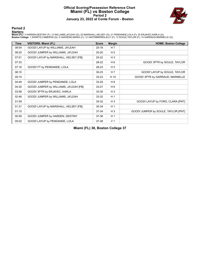### **Official Scoring/Possession Reference Chart Miami (FL) vs Boston College Period 2 January 23, 2022 at Conte Forum - Boston**



**Period 2**

<mark>Startersː</mark><br>Miami (FL): 3 HARDEN,DESTINY (F); 12 WILLIAMS,JA'LEAH (G); 20 MARSHALL,KELSEY (G); 21 PENDANDE,LOLA (F); 25 ERJAVEC,KARLA (G);<br>**Boston College**: 1 SWARTZ,CAMERON (G); 5 GAKDENG,MARIA (C); 12 VANTIMMEREN,ALLY (F

| <b>Time</b> | <b>VISITORS: Miami (FL)</b>            | <b>Score</b> | <b>Margin</b>  | <b>HOME: Boston College</b>         |
|-------------|----------------------------------------|--------------|----------------|-------------------------------------|
| 08:54       | GOOD! LAYUP by WILLIAMS, JA'LEAH       | $25 - 18$    | H 7            |                                     |
| 08:20       | GOOD! JUMPER by WILLIAMS, JA'LEAH      | $25 - 20$    | H <sub>5</sub> |                                     |
| 07:51       | GOOD! LAYUP by MARSHALL, KELSEY [FB]   | $25 - 22$    | $H_3$          |                                     |
| 07:33       |                                        | 28-22        | H 6            | GOOD! 3PTR by SOULE, TAYLOR         |
| 07:16       | GOOD! FT by PENDANDE, LOLA             | 28-23        | H <sub>5</sub> |                                     |
| 06:10       |                                        | $30 - 23$    | H <sub>7</sub> | GOOD! LAYUP by SOULE, TAYLOR        |
| 05:15       |                                        | $33 - 23$    | H 10           | GOOD! 3PTR by GARRAUD, MARNELLE     |
| 04:49       | GOOD! JUMPER by PENDANDE, LOLA         | $33 - 25$    | H 8            |                                     |
| 04:30       | GOOD! JUMPER by WILLIAMS, JA'LEAH [FB] | $33 - 27$    | H 6            |                                     |
| 03:58       | GOOD! 3PTR by ERJAVEC, KARLA           | $33 - 30$    | $H_3$          |                                     |
| 02:46       | GOOD! JUMPER by WILLIAMS, JA'LEAH      | 33-32        | H <sub>1</sub> |                                     |
| 01:59       |                                        | $35 - 32$    | $H_3$          | GOOD! LAYUP by FORD, CLARA [PNT]    |
| 01:31       | GOOD! LAYUP by MARSHALL, KELSEY [FB]   | 35-34        | H <sub>1</sub> |                                     |
| 01:10       |                                        | $37 - 34$    | $H_3$          | GOOD! JUMPER by SOULE, TAYLOR [PNT] |
| 00:59       | GOOD! JUMPER by HARDEN, DESTINY        | 37-36        | H <sub>1</sub> |                                     |
| 00:02       | GOOD! LAYUP by PENDANDE, LOLA          | 37-38        | V <sub>1</sub> |                                     |

**Miami (FL) 38, Boston College 37**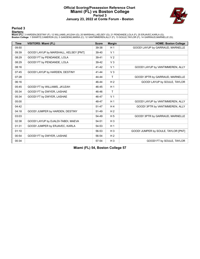### **Official Scoring/Possession Reference Chart Miami (FL) vs Boston College Period 3 January 23, 2022 at Conte Forum - Boston**



#### **Period 3**

<mark>Startersː</mark><br>Miami (FL): 3 HARDEN,DESTINY (F); 12 WILLIAMS,JA'LEAH (G); 20 MARSHALL,KELSEY (G); 21 PENDANDE,LOLA (F); 25 ERJAVEC,KARLA (G);<br>**Boston College**: 1 SWARTZ,CAMERON (G); 5 GAKDENG,MARIA (C); 12 VANTIMMEREN,ALLY (F

| <b>Time</b> | <b>VISITORS: Miami (FL)</b>           | <b>Score</b> | <b>Margin</b>  | <b>HOME: Boston College</b>         |
|-------------|---------------------------------------|--------------|----------------|-------------------------------------|
| 09:50       |                                       | 39-38        | H <sub>1</sub> | GOOD! LAYUP by GARRAUD, MARNELLE    |
| 09:39       | GOOD! LAYUP by MARSHALL, KELSEY [PNT] | 39-40        | V <sub>1</sub> |                                     |
| 08:29       | GOOD! FT by PENDANDE, LOLA            | $39 - 41$    | V <sub>2</sub> |                                     |
| 08:29       | GOOD! FT by PENDANDE, LOLA            | 39-42        | V <sub>3</sub> |                                     |
| 08:16       |                                       | 41-42        | V <sub>1</sub> | GOOD! LAYUP by VANTIMMEREN, ALLY    |
| 07:45       | GOOD! LAYUP by HARDEN, DESTINY        | $41 - 44$    | V <sub>3</sub> |                                     |
| 07:28       |                                       | 44-44        | T              | GOOD! 3PTR by GARRAUD, MARNELLE     |
| 06:16       |                                       | 46-44        | H <sub>2</sub> | GOOD! LAYUP by SOULE, TAYLOR        |
| 05:45       | GOOD! FT by WILLIAMS, JA'LEAH         | 46-45        | H <sub>1</sub> |                                     |
| 05:34       | GOOD! FT by DWYER, LASHAE             | 46-46        | $\mathsf{T}$   |                                     |
| 05:34       | GOOD! FT by DWYER, LASHAE             | 46-47        | V <sub>1</sub> |                                     |
| 05:00       |                                       | 48-47        | H <sub>1</sub> | GOOD! LAYUP by VANTIMMEREN, ALLY    |
| 04:42       |                                       | 51-47        | H4             | GOOD! 3PTR by VANTIMMEREN, ALLY     |
| 04:18       | GOOD! JUMPER by HARDEN, DESTINY       | 51-49        | H <sub>2</sub> |                                     |
| 03:03       |                                       | 54-49        | H <sub>5</sub> | GOOD! 3PTR by GARRAUD, MARNELLE     |
| 02:38       | GOOD! LAYUP by DJALDI-TABDI, MAEVA    | 54-51        | $H_3$          |                                     |
| 01:31       | GOOD! JUMPER by ERJAVEC, KARLA        | 54-53        | H <sub>1</sub> |                                     |
| 01:10       |                                       | 56-53        | $H_3$          | GOOD! JUMPER by SOULE, TAYLOR [PNT] |
| 00:54       | GOOD! FT by DWYER, LASHAE             | 56-54        | H <sub>2</sub> |                                     |
| 00:34       |                                       | 57-54        | $H_3$          | GOOD! FT by SOULE, TAYLOR           |

**Miami (FL) 54, Boston College 57**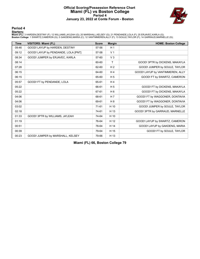### **Official Scoring/Possession Reference Chart Miami (FL) vs Boston College Period 4 January 23, 2022 at Conte Forum - Boston**



**Period 4**

<mark>Startersː</mark><br>Miami (FL): 3 HARDEN,DESTINY (F); 12 WILLIAMS,JA'LEAH (G); 20 MARSHALL,KELSEY (G); 21 PENDANDE,LOLA (F); 25 ERJAVEC,KARLA (G);<br>**Boston College**: 1 SWARTZ,CAMERON (G); 5 GAKDENG,MARIA (C); 12 VANTIMMEREN,ALLY (F

| <b>Time</b> | <b>VISITORS: Miami (FL)</b>         | <b>Score</b> | <b>Margin</b>  | <b>HOME: Boston College</b>      |
|-------------|-------------------------------------|--------------|----------------|----------------------------------|
| 09:46       | GOOD! LAYUP by HARDEN, DESTINY      | 57-56        | H <sub>1</sub> |                                  |
| 09:12       | GOOD! LAYUP by PENDANDE, LOLA [PNT] | 57-58        | V <sub>1</sub> |                                  |
| 08:34       | GOOD! JUMPER by ERJAVEC, KARLA      | 57-60        | V <sub>3</sub> |                                  |
| 08:14       |                                     | 60-60        | T              | GOOD! 3PTR by DICKENS, MAKAYLA   |
| 07:28       |                                     | 62-60        | H <sub>2</sub> | GOOD! JUMPER by SOULE, TAYLOR    |
| 06:15       |                                     | 64-60        | $H_4$          | GOOD! LAYUP by VANTIMMEREN, ALLY |
| 06:15       |                                     | 65-60        | H <sub>5</sub> | GOOD! FT by SWARTZ, CAMERON      |
| 05:57       | GOOD! FT by PENDANDE, LOLA          | 65-61        | H <sub>4</sub> |                                  |
| 05:22       |                                     | 66-61        | H <sub>5</sub> | GOOD! FT by DICKENS, MAKAYLA     |
| 05:22       |                                     | 67-61        | H <sub>6</sub> | GOOD! FT by DICKENS, MAKAYLA     |
| 04:06       |                                     | 68-61        | H <sub>7</sub> | GOOD! FT by WAGGONER, DONTAVIA   |
| 04:06       |                                     | 69-61        | H 8            | GOOD! FT by WAGGONER, DONTAVIA   |
| 03:02       |                                     | 71-61        | H 10           | GOOD! JUMPER by SOULE, TAYLOR    |
| 02:18       |                                     | 74-61        | H 13           | GOOD! 3PTR by GARRAUD, MARNELLE  |
| 01:33       | GOOD! 3PTR by WILLIAMS, JA'LEAH     | 74-64        | H 10           |                                  |
| 01:19       |                                     | 76-64        | H 12           | GOOD! LAYUP by SWARTZ, CAMERON   |
| 00:51       |                                     | 78-64        | H 14           | GOOD! LAYUP by GAKDENG, MARIA    |
| 00:39       |                                     | 79-64        | H 15           | GOOD! FT by SOULE, TAYLOR        |
| 00:23       | GOOD! JUMPER by MARSHALL, KELSEY    | 79-66        | H 13           |                                  |

**Miami (FL) 66, Boston College 79**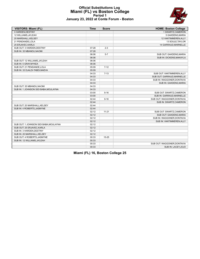### **Official Substitutions Log Miami (FL) vs Boston College Period 1 January 23, 2022 at Conte Forum - Boston**

| <b>VISITORS: Miami (FL)</b>            | <b>Time</b> | <b>Score</b> | <b>HOME: Boston College</b>   |
|----------------------------------------|-------------|--------------|-------------------------------|
| 3 HARDEN, DESTINY                      |             |              | 1 SWARTZ, CAMERON             |
| 12 WILLIAMS, JA'LEAH                   |             |              | 5 GAKDENG, MARIA              |
| 20 MARSHALL, KELSEY                    |             |              | 12 VANTIMMEREN, ALLY          |
| 21 PENDANDE, LOLA                      |             |              | 13 SOULE, TAYLOR              |
| 25 ERJAVEC, KARLA                      |             |              | 14 GARRAUD, MARNELLE          |
| SUB OUT: 3 HARDEN, DESTINY             | 07:28       | $2 - 3$      |                               |
| SUB IN: 35 MBANDU, NAOMI               | 07:28       |              |                               |
|                                        | 06:06       | $5 - 7$      | SUB OUT: GAKDENG, MARIA       |
|                                        | 06:06       |              | SUB IN: DICKENS, MAKAYLA      |
| SUB OUT: 12 WILLIAMS, JA'LEAH          | 06:06       |              |                               |
| SUB IN: 5 GRAY, MYKEA                  | 06:06       |              |                               |
| SUB OUT: 21 PENDANDE, LOLA             | 05:09       | $7 - 12$     |                               |
| SUB IN: 33 DJALDI-TABDI, MAEVA         | 05:09       |              |                               |
|                                        | 04:33       | $7 - 13$     | SUB OUT: VANTIMMEREN, ALLY    |
|                                        | 04:33       |              | SUB OUT: GARRAUD.MARNELLE     |
|                                        | 04:33       |              | SUB IN: WAGGONER, DONTAVIA    |
|                                        | 04:33       |              | SUB IN: GAKDENG, MARIA        |
| SUB OUT: 35 MBANDU, NAOMI              | 04:33       |              |                               |
| SUB IN: 1 JOHNSON SIDI BABA, MOULAYNA  | 04:33       |              |                               |
|                                        | 03:00       | $9 - 16$     | SUB OUT: SWARTZ, CAMERON      |
|                                        | 03:00       |              | SUB IN: GARRAUD, MARNELLE     |
|                                        | 02:44       | $9 - 16$     | SUB OUT: WAGGONER, DONTAVIA   |
|                                        | 02:44       |              | SUB IN: SWARTZ, CAMERON       |
| SUB OUT: 20 MARSHALL, KELSEY           | 02:44       |              |                               |
| SUB IN: 4 ROBERTS, JASMYNE             | 02:44       |              |                               |
|                                        | 02:12       | $11 - 21$    | SUB OUT: SWARTZ, CAMERON      |
|                                        | 02:12       |              | <b>SUB OUT: GAKDENG MARIA</b> |
|                                        | 02:12       |              | SUB IN: WAGGONER, DONTAVIA    |
|                                        | 02:12       |              | SUB IN: VANTIMMEREN, ALLY     |
| SUB OUT: 1 JOHNSON SIDI BABA, MOULAYNA | 02:12       |              |                               |
| SUB OUT: 25 ERJAVEC, KARLA             | 02:12       |              |                               |
| SUB IN: 3 HARDEN, DESTINY              | 02:12       |              |                               |
| SUB IN: 20 MARSHALL, KELSEY            | 02:12       |              |                               |
| SUB OUT: 4 ROBERTS, JASMYNE            | 00:33       | 15-25        |                               |
| SUB IN: 12 WILLIAMS, JA'LEAH           | 00:33       |              |                               |
|                                        | 00:33       |              | SUB OUT: WAGGONER, DONTAVIA   |
|                                        | 00:33       |              | SUB IN: LACEY, JOJO           |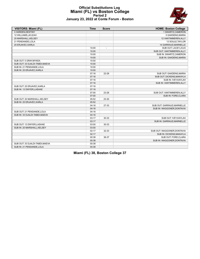

### **Official Substitutions Log Miami (FL) vs Boston College Period 2 January 23, 2022 at Conte Forum - Boston**

| VISITORS: Miami (FL)            | <b>Time</b> | <b>Score</b> | <b>HOME: Boston College</b> |
|---------------------------------|-------------|--------------|-----------------------------|
| 3 HARDEN, DESTINY               |             |              | 1 SWARTZ, CAMERON           |
| 12 WILLIAMS, JA'LEAH            |             |              | 5 GAKDENG, MARIA            |
| 20 MARSHALL, KELSEY             |             |              | 12 VANTIMMEREN, ALLY        |
| 21 PENDANDE, LOLA               |             |              | 13 SOULE, TAYLOR            |
| 25 ERJAVEC, KARLA               |             |              | 14 GARRAUD, MARNELLE        |
|                                 | 10:00       |              | SUB OUT: LACEY, JOJO        |
|                                 | 10:00       |              | SUB OUT: VANTIMMEREN, ALLY  |
|                                 | 10:00       |              | SUB IN: SWARTZ, CAMERON     |
|                                 | 10:00       |              | SUB IN: GAKDENG, MARIA      |
| SUB OUT: 5 GRAY, MYKEA          | 10:00       |              |                             |
| SUB OUT: 33 DJALDI-TABDI, MAEVA | 10:00       |              |                             |
| SUB IN: 21 PENDANDE, LOLA       | 10:00       |              |                             |
| SUB IN: 25 ERJAVEC, KARLA       | 10:00       |              |                             |
|                                 | 07:16       | 22-28        | SUB OUT: GAKDENG, MARIA     |
|                                 | 07:16       |              | SUB OUT: DICKENS, MAKAYLA   |
|                                 | 07:16       |              | SUB IN: IVEY, KAYLAH        |
|                                 | 07:16       |              | SUB IN: VANTIMMEREN, ALLY   |
| SUB OUT: 25 ERJAVEC, KARLA      | 07:16       |              |                             |
| SUB IN: 13 DWYER, LASHAE        | 07:16       |              |                             |
|                                 | 07:00       | 23-28        | SUB OUT: VANTIMMEREN, ALLY  |
|                                 | 07:00       |              | SUB IN: FORD, CLARA         |
| SUB OUT: 20 MARSHALL, KELSEY    | 05:52       | 23-30        |                             |
| SUB IN: 25 ERJAVEC, KARLA       | 05:52       |              |                             |
|                                 | 04:16       | 27-33        | SUB OUT: GARRAUD, MARNELLE  |
|                                 | 04:16       |              | SUB IN: WAGGONER, DONTAVIA  |
| SUB OUT: 21 PENDANDE, LOLA      | 04:16       |              |                             |
| SUB IN: 33 DJALDI-TABDI, MAEVA  | 04:16       |              |                             |
|                                 | 03:17       | 30-33        | SUB OUT: IVEY.KAYLAH        |
|                                 | 03:17       |              | SUB IN: GARRAUD, MARNELLE   |
| SUB OUT: 13 DWYER, LASHAE       | 03:00       | 30-33        |                             |
| SUB IN: 20 MARSHALL, KELSEY     | 03:00       |              |                             |
|                                 | 02:17       | 32-33        | SUB OUT: WAGGONER, DONTAVIA |
|                                 | 02:17       |              | SUB IN: DICKENS, MAKAYLA    |
|                                 | 00:38       | 36-37        | SUB OUT: FORD CLARA         |
|                                 | 00:38       |              | SUB IN: WAGGONER, DONTAVIA  |
| SUB OUT: 33 DJALDI-TABDI, MAEVA | 00:38       |              |                             |
| SUB IN: 21 PENDANDE.LOLA        | 00:38       |              |                             |

|  |  | Miami (FL) 38, Boston College 37 |  |
|--|--|----------------------------------|--|
|  |  |                                  |  |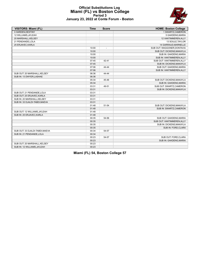

#### **Official Substitutions Log Miami (FL) vs Boston College Period 3 January 23, 2022 at Conte Forum - Boston**

| VISITORS: Miami (FL)            | <b>Time</b> | <b>Score</b>   | <b>HOME: Boston College</b> |
|---------------------------------|-------------|----------------|-----------------------------|
| 3 HARDEN, DESTINY               |             |                | 1 SWARTZ, CAMERON           |
| 12 WILLIAMS, JA'LEAH            |             |                | 5 GAKDENG, MARIA            |
| 20 MARSHALL, KELSEY             |             |                | 12 VANTIMMEREN, ALLY        |
| 21 PENDANDE, LOLA               |             |                | 13 SOULE, TAYLOR            |
| 25 ERJAVEC, KARLA               |             |                | 14 GARRAUD, MARNELLE        |
|                                 | 10:00       | $\overline{a}$ | SUB OUT: WAGGONER, DONTAVIA |
|                                 | 10:00       |                | SUB OUT: DICKENS, MAKAYLA   |
|                                 | 10:00       |                | SUB IN: GAKDENG, MARIA      |
|                                 | 10:00       |                | SUB IN: VANTIMMEREN, ALLY   |
|                                 | 07:45       | 42-41          | SUB OUT: VANTIMMEREN, ALLY  |
|                                 | 07:45       |                | SUB IN: DICKENS, MAKAYLA    |
|                                 | 07:06       | 44-44          | SUB OUT: GAKDENG, MARIA     |
|                                 | 07:06       |                | SUB IN: VANTIMMEREN, ALLY   |
| SUB OUT: 20 MARSHALL, KELSEY    | 06:36       | 44-44          |                             |
| SUB IN: 13 DWYER, LASHAE        | 06:36       |                |                             |
|                                 | 05:34       | 45-46          | SUB OUT: DICKENS, MAKAYLA   |
|                                 | 05:34       |                | SUB IN: GAKDENG, MARIA      |
|                                 | 03:31       | 49-51          | SUB OUT: SWARTZ, CAMERON    |
|                                 | 03:31       |                | SUB IN: DICKENS, MAKAYLA    |
| SUB OUT: 21 PENDANDE.LOLA       | 03:31       |                |                             |
| SUB OUT: 25 ERJAVEC, KARLA      | 03:31       |                |                             |
| SUB IN: 20 MARSHALL.KELSEY      | 03:31       |                |                             |
| SUB IN: 33 DJALDI-TABDI, MAEVA  | 03:31       |                |                             |
|                                 | 01:48       | 51-54          | SUB OUT: DICKENS, MAKAYLA   |
|                                 | 01:48       |                | SUB IN: SWARTZ, CAMERON     |
| SUB OUT: 12 WILLIAMS.JA'LEAH    | 01:48       |                |                             |
| SUB IN: 25 ERJAVEC, KARLA       | 01:48       |                |                             |
|                                 | 00:35       | 54-56          | SUB OUT: GAKDENG, MARIA     |
|                                 | 00:35       |                | SUB OUT: VANTIMMEREN, ALLY  |
|                                 | 00:35       |                | SUB IN: DICKENS, MAKAYLA    |
|                                 | 00:35       |                | SUB IN: FORD, CLARA         |
| SUB OUT: 33 DJALDI-TABDI, MAEVA | 00:34       | 54-57          |                             |
| SUB IN: 21 PENDANDE, LOLA       | 00:34       |                |                             |
|                                 | 00:23       | 54-57          | SUB OUT: FORD, CLARA        |
|                                 | 00:23       |                | SUB IN: GAKDENG, MARIA      |
| SUB OUT: 20 MARSHALL, KELSEY    | 00:23       |                |                             |
| SUB IN: 12 WILLIAMS, JA'LEAH    | 00:23       |                |                             |

**Miami (FL) 54, Boston College 57**